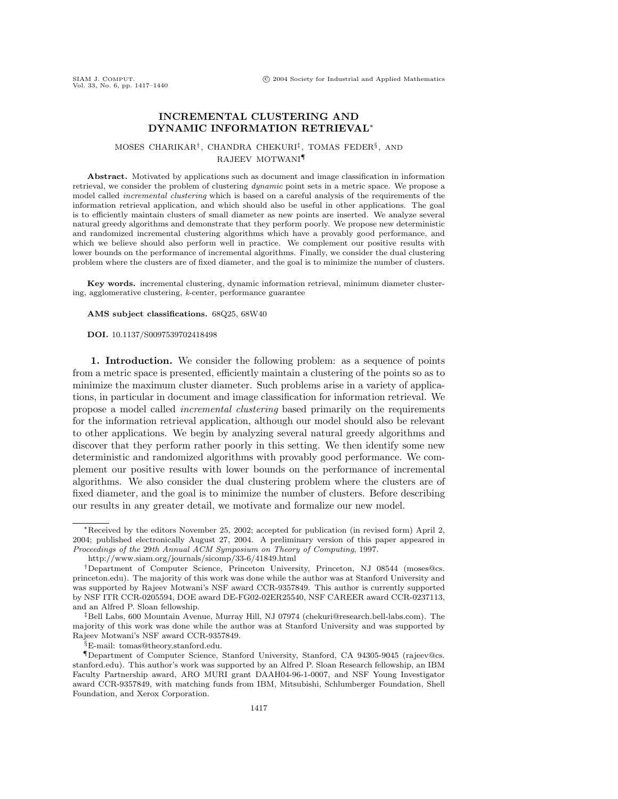# **INCREMENTAL CLUSTERING AND DYNAMIC INFORMATION RETRIEVAL**∗

## MOSES CHARIKAR†, CHANDRA CHEKURI‡, TOMAS FEDER§, AND RAJEEV MOTWANI¶

**Abstract.** Motivated by applications such as document and image classification in information retrieval, we consider the problem of clustering dynamic point sets in a metric space. We propose a model called incremental clustering which is based on a careful analysis of the requirements of the information retrieval application, and which should also be useful in other applications. The goal is to efficiently maintain clusters of small diameter as new points are inserted. We analyze several natural greedy algorithms and demonstrate that they perform poorly. We propose new deterministic and randomized incremental clustering algorithms which have a provably good performance, and which we believe should also perform well in practice. We complement our positive results with lower bounds on the performance of incremental algorithms. Finally, we consider the dual clustering problem where the clusters are of fixed diameter, and the goal is to minimize the number of clusters.

**Key words.** incremental clustering, dynamic information retrieval, minimum diameter clustering, agglomerative clustering, k-center, performance guarantee

**AMS subject classifications.** 68Q25, 68W40

**DOI.** 10.1137/S0097539702418498

**1. Introduction.** We consider the following problem: as a sequence of points from a metric space is presented, efficiently maintain a clustering of the points so as to minimize the maximum cluster diameter. Such problems arise in a variety of applications, in particular in document and image classification for information retrieval. We propose a model called incremental clustering based primarily on the requirements for the information retrieval application, although our model should also be relevant to other applications. We begin by analyzing several natural greedy algorithms and discover that they perform rather poorly in this setting. We then identify some new deterministic and randomized algorithms with provably good performance. We complement our positive results with lower bounds on the performance of incremental algorithms. We also consider the dual clustering problem where the clusters are of fixed diameter, and the goal is to minimize the number of clusters. Before describing our results in any greater detail, we motivate and formalize our new model.

<sup>∗</sup>Received by the editors November 25, 2002; accepted for publication (in revised form) April 2, 2004; published electronically August 27, 2004. A preliminary version of this paper appeared in Proceedings of the 29th Annual ACM Symposium on Theory of Computing, 1997.

http://www.siam.org/journals/sicomp/33-6/41849.html

<sup>†</sup>Department of Computer Science, Princeton University, Princeton, NJ 08544 (moses@cs. princeton.edu). The majority of this work was done while the author was at Stanford University and was supported by Rajeev Motwani's NSF award CCR-9357849. This author is currently supported by NSF ITR CCR-0205594, DOE award DE-FG02-02ER25540, NSF CAREER award CCR-0237113, and an Alfred P. Sloan fellowship.

<sup>‡</sup>Bell Labs, 600 Mountain Avenue, Murray Hill, NJ 07974 (chekuri@research.bell-labs.com). The majority of this work was done while the author was at Stanford University and was supported by Rajeev Motwani's NSF award CCR-9357849.

<sup>§</sup>E-mail: tomas@theory.stanford.edu.

<sup>¶</sup>Department of Computer Science, Stanford University, Stanford, CA 94305-9045 (rajeev@cs. stanford.edu). This author's work was supported by an Alfred P. Sloan Research fellowship, an IBM Faculty Partnership award, ARO MURI grant DAAH04-96-1-0007, and NSF Young Investigator award CCR-9357849, with matching funds from IBM, Mitsubishi, Schlumberger Foundation, Shell Foundation, and Xerox Corporation.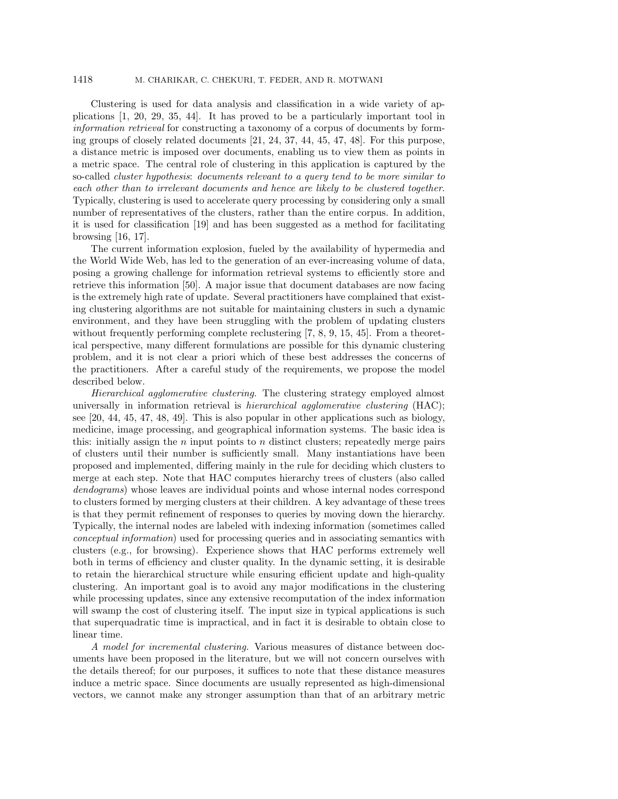Clustering is used for data analysis and classification in a wide variety of applications [1, 20, 29, 35, 44]. It has proved to be a particularly important tool in information retrieval for constructing a taxonomy of a corpus of documents by forming groups of closely related documents [21, 24, 37, 44, 45, 47, 48]. For this purpose, a distance metric is imposed over documents, enabling us to view them as points in a metric space. The central role of clustering in this application is captured by the so-called cluster hypothesis: documents relevant to a query tend to be more similar to each other than to irrelevant documents and hence are likely to be clustered together. Typically, clustering is used to accelerate query processing by considering only a small number of representatives of the clusters, rather than the entire corpus. In addition, it is used for classification [19] and has been suggested as a method for facilitating browsing [16, 17].

The current information explosion, fueled by the availability of hypermedia and the World Wide Web, has led to the generation of an ever-increasing volume of data, posing a growing challenge for information retrieval systems to efficiently store and retrieve this information [50]. A major issue that document databases are now facing is the extremely high rate of update. Several practitioners have complained that existing clustering algorithms are not suitable for maintaining clusters in such a dynamic environment, and they have been struggling with the problem of updating clusters without frequently performing complete reclustering [7, 8, 9, 15, 45]. From a theoretical perspective, many different formulations are possible for this dynamic clustering problem, and it is not clear a priori which of these best addresses the concerns of the practitioners. After a careful study of the requirements, we propose the model described below.

Hierarchical agglomerative clustering. The clustering strategy employed almost universally in information retrieval is hierarchical agglomerative clustering (HAC); see [20, 44, 45, 47, 48, 49]. This is also popular in other applications such as biology, medicine, image processing, and geographical information systems. The basic idea is this: initially assign the n input points to n distinct clusters; repeatedly merge pairs of clusters until their number is sufficiently small. Many instantiations have been proposed and implemented, differing mainly in the rule for deciding which clusters to merge at each step. Note that HAC computes hierarchy trees of clusters (also called dendograms) whose leaves are individual points and whose internal nodes correspond to clusters formed by merging clusters at their children. A key advantage of these trees is that they permit refinement of responses to queries by moving down the hierarchy. Typically, the internal nodes are labeled with indexing information (sometimes called conceptual information) used for processing queries and in associating semantics with clusters (e.g., for browsing). Experience shows that HAC performs extremely well both in terms of efficiency and cluster quality. In the dynamic setting, it is desirable to retain the hierarchical structure while ensuring efficient update and high-quality clustering. An important goal is to avoid any major modifications in the clustering while processing updates, since any extensive recomputation of the index information will swamp the cost of clustering itself. The input size in typical applications is such that superquadratic time is impractical, and in fact it is desirable to obtain close to linear time.

A model for incremental clustering. Various measures of distance between documents have been proposed in the literature, but we will not concern ourselves with the details thereof; for our purposes, it suffices to note that these distance measures induce a metric space. Since documents are usually represented as high-dimensional vectors, we cannot make any stronger assumption than that of an arbitrary metric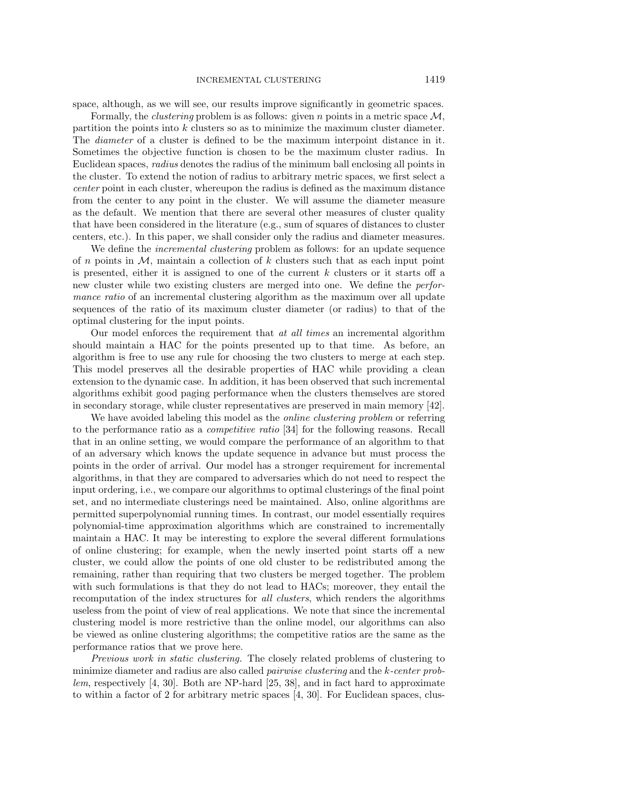#### INCREMENTAL CLUSTERING 1419

space, although, as we will see, our results improve significantly in geometric spaces.

Formally, the *clustering* problem is as follows: given n points in a metric space  $M$ , partition the points into k clusters so as to minimize the maximum cluster diameter. The *diameter* of a cluster is defined to be the maximum interpoint distance in it. Sometimes the objective function is chosen to be the maximum cluster radius. In Euclidean spaces, radius denotes the radius of the minimum ball enclosing all points in the cluster. To extend the notion of radius to arbitrary metric spaces, we first select a center point in each cluster, whereupon the radius is defined as the maximum distance from the center to any point in the cluster. We will assume the diameter measure as the default. We mention that there are several other measures of cluster quality that have been considered in the literature (e.g., sum of squares of distances to cluster centers, etc.). In this paper, we shall consider only the radius and diameter measures.

We define the *incremental clustering* problem as follows: for an update sequence of n points in  $M$ , maintain a collection of k clusters such that as each input point is presented, either it is assigned to one of the current  $k$  clusters or it starts off a new cluster while two existing clusters are merged into one. We define the performance ratio of an incremental clustering algorithm as the maximum over all update sequences of the ratio of its maximum cluster diameter (or radius) to that of the optimal clustering for the input points.

Our model enforces the requirement that *at all times* an incremental algorithm should maintain a HAC for the points presented up to that time. As before, an algorithm is free to use any rule for choosing the two clusters to merge at each step. This model preserves all the desirable properties of HAC while providing a clean extension to the dynamic case. In addition, it has been observed that such incremental algorithms exhibit good paging performance when the clusters themselves are stored in secondary storage, while cluster representatives are preserved in main memory [42].

We have avoided labeling this model as the *online clustering problem* or referring to the performance ratio as a competitive ratio [34] for the following reasons. Recall that in an online setting, we would compare the performance of an algorithm to that of an adversary which knows the update sequence in advance but must process the points in the order of arrival. Our model has a stronger requirement for incremental algorithms, in that they are compared to adversaries which do not need to respect the input ordering, i.e., we compare our algorithms to optimal clusterings of the final point set, and no intermediate clusterings need be maintained. Also, online algorithms are permitted superpolynomial running times. In contrast, our model essentially requires polynomial-time approximation algorithms which are constrained to incrementally maintain a HAC. It may be interesting to explore the several different formulations of online clustering; for example, when the newly inserted point starts off a new cluster, we could allow the points of one old cluster to be redistributed among the remaining, rather than requiring that two clusters be merged together. The problem with such formulations is that they do not lead to HACs; moreover, they entail the recomputation of the index structures for all clusters, which renders the algorithms useless from the point of view of real applications. We note that since the incremental clustering model is more restrictive than the online model, our algorithms can also be viewed as online clustering algorithms; the competitive ratios are the same as the performance ratios that we prove here.

Previous work in static clustering. The closely related problems of clustering to minimize diameter and radius are also called pairwise clustering and the k-center problem, respectively [4, 30]. Both are NP-hard [25, 38], and in fact hard to approximate to within a factor of 2 for arbitrary metric spaces [4, 30]. For Euclidean spaces, clus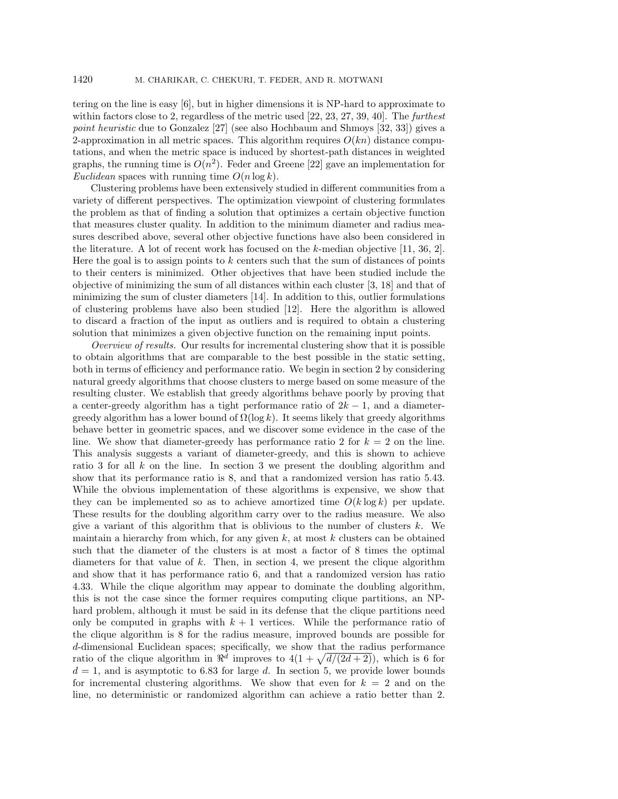tering on the line is easy [6], but in higher dimensions it is NP-hard to approximate to within factors close to 2, regardless of the metric used  $[22, 23, 27, 39, 40]$ . The *furthest* point heuristic due to Gonzalez [27] (see also Hochbaum and Shmoys [32, 33]) gives a 2-approximation in all metric spaces. This algorithm requires  $O(kn)$  distance computations, and when the metric space is induced by shortest-path distances in weighted graphs, the running time is  $O(n^2)$ . Feder and Greene [22] gave an implementation for Euclidean spaces with running time  $O(n \log k)$ .

Clustering problems have been extensively studied in different communities from a variety of different perspectives. The optimization viewpoint of clustering formulates the problem as that of finding a solution that optimizes a certain objective function that measures cluster quality. In addition to the minimum diameter and radius measures described above, several other objective functions have also been considered in the literature. A lot of recent work has focused on the  $k$ -median objective [11, 36, 2]. Here the goal is to assign points to  $k$  centers such that the sum of distances of points to their centers is minimized. Other objectives that have been studied include the objective of minimizing the sum of all distances within each cluster [3, 18] and that of minimizing the sum of cluster diameters [14]. In addition to this, outlier formulations of clustering problems have also been studied [12]. Here the algorithm is allowed to discard a fraction of the input as outliers and is required to obtain a clustering solution that minimizes a given objective function on the remaining input points.

Overview of results. Our results for incremental clustering show that it is possible to obtain algorithms that are comparable to the best possible in the static setting, both in terms of efficiency and performance ratio. We begin in section 2 by considering natural greedy algorithms that choose clusters to merge based on some measure of the resulting cluster. We establish that greedy algorithms behave poorly by proving that a center-greedy algorithm has a tight performance ratio of  $2k - 1$ , and a diametergreedy algorithm has a lower bound of  $\Omega(\log k)$ . It seems likely that greedy algorithms behave better in geometric spaces, and we discover some evidence in the case of the line. We show that diameter-greedy has performance ratio 2 for  $k = 2$  on the line. This analysis suggests a variant of diameter-greedy, and this is shown to achieve ratio 3 for all  $k$  on the line. In section 3 we present the doubling algorithm and show that its performance ratio is 8, and that a randomized version has ratio 5.43. While the obvious implementation of these algorithms is expensive, we show that they can be implemented so as to achieve amortized time  $O(k \log k)$  per update. These results for the doubling algorithm carry over to the radius measure. We also give a variant of this algorithm that is oblivious to the number of clusters  $k$ . We maintain a hierarchy from which, for any given  $k$ , at most  $k$  clusters can be obtained such that the diameter of the clusters is at most a factor of 8 times the optimal diameters for that value of  $k$ . Then, in section 4, we present the clique algorithm and show that it has performance ratio 6, and that a randomized version has ratio 4.33. While the clique algorithm may appear to dominate the doubling algorithm, this is not the case since the former requires computing clique partitions, an NPhard problem, although it must be said in its defense that the clique partitions need only be computed in graphs with  $k + 1$  vertices. While the performance ratio of the clique algorithm is 8 for the radius measure, improved bounds are possible for d-dimensional Euclidean spaces; specifically, we show that the radius performance ratio of the clique algorithm in  $\Re^d$  improves to  $4(1 + \sqrt{d/(2d+2)})$ , which is 6 for  $d = 1$ , and is asymptotic to 6.83 for large d. In section 5, we provide lower bounds for incremental clustering algorithms. We show that even for  $k = 2$  and on the line, no deterministic or randomized algorithm can achieve a ratio better than 2.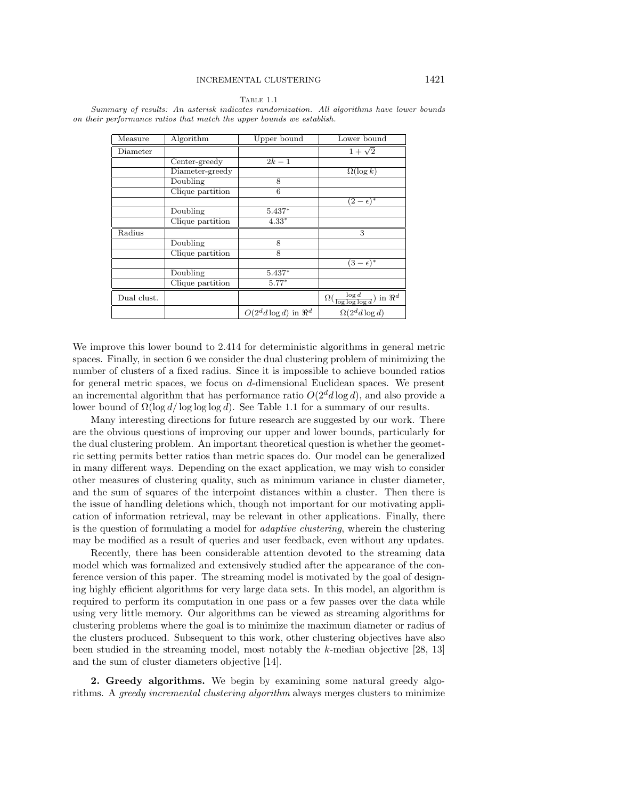| Measure     | Algorithm        | Upper bound                  | Lower bound                                          |
|-------------|------------------|------------------------------|------------------------------------------------------|
| Diameter    |                  |                              | $1+\sqrt{2}$                                         |
|             | Center-greedy    | $2k-1$                       |                                                      |
|             | Diameter-greedy  |                              | $\Omega(\log k)$                                     |
|             | Doubling         | 8                            |                                                      |
|             | Clique partition | 6                            |                                                      |
|             |                  |                              | $(2-\epsilon)^*$                                     |
|             | Doubling         | 5.437*                       |                                                      |
|             | Clique partition | $4.33*$                      |                                                      |
| Radius      |                  |                              | 3                                                    |
|             | Doubling         | 8                            |                                                      |
|             | Clique partition | 8                            |                                                      |
|             |                  |                              | $(3-\epsilon)^*$                                     |
|             | Doubling         | $5.437*$                     |                                                      |
|             | Clique partition | $5.77*$                      |                                                      |
| Dual clust. |                  |                              | $\Omega(\frac{\log d}{\log \log \log d})$ in $\Re^d$ |
|             |                  | $O(2^d d \log d)$ in $\Re^d$ | $\Omega(2^d d \log d)$                               |

Table 1.1 Summary of results: An asterisk indicates randomization. All algorithms have lower bounds on their performance ratios that match the upper bounds we establish.

We improve this lower bound to 2.414 for deterministic algorithms in general metric spaces. Finally, in section 6 we consider the dual clustering problem of minimizing the number of clusters of a fixed radius. Since it is impossible to achieve bounded ratios for general metric spaces, we focus on d-dimensional Euclidean spaces. We present an incremental algorithm that has performance ratio  $O(2^d d \log d)$ , and also provide a lower bound of  $\Omega(\log d/\log \log d)$ . See Table 1.1 for a summary of our results.

Many interesting directions for future research are suggested by our work. There are the obvious questions of improving our upper and lower bounds, particularly for the dual clustering problem. An important theoretical question is whether the geometric setting permits better ratios than metric spaces do. Our model can be generalized in many different ways. Depending on the exact application, we may wish to consider other measures of clustering quality, such as minimum variance in cluster diameter, and the sum of squares of the interpoint distances within a cluster. Then there is the issue of handling deletions which, though not important for our motivating application of information retrieval, may be relevant in other applications. Finally, there is the question of formulating a model for adaptive clustering, wherein the clustering may be modified as a result of queries and user feedback, even without any updates.

Recently, there has been considerable attention devoted to the streaming data model which was formalized and extensively studied after the appearance of the conference version of this paper. The streaming model is motivated by the goal of designing highly efficient algorithms for very large data sets. In this model, an algorithm is required to perform its computation in one pass or a few passes over the data while using very little memory. Our algorithms can be viewed as streaming algorithms for clustering problems where the goal is to minimize the maximum diameter or radius of the clusters produced. Subsequent to this work, other clustering objectives have also been studied in the streaming model, most notably the k-median objective [28, 13] and the sum of cluster diameters objective [14].

**2. Greedy algorithms.** We begin by examining some natural greedy algorithms. A greedy incremental clustering algorithm always merges clusters to minimize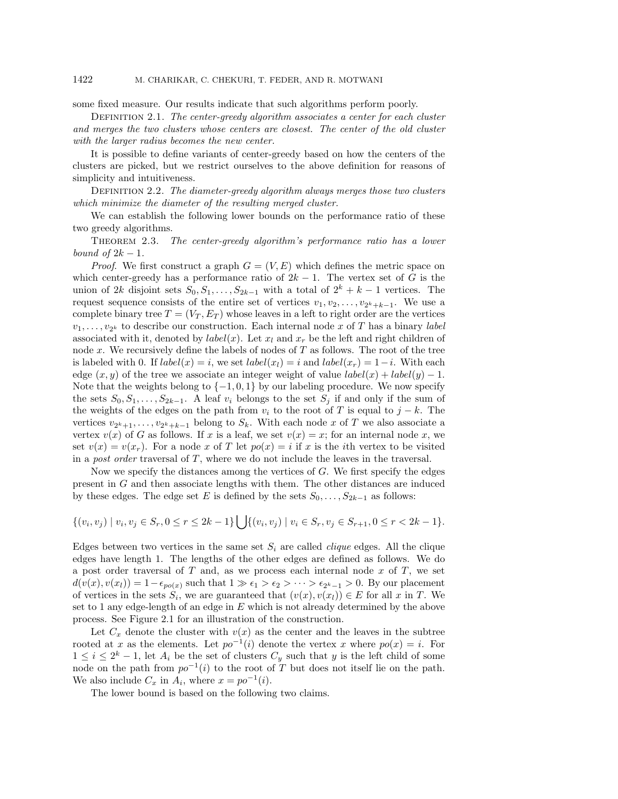### 1422 M. CHARIKAR, C. CHEKURI, T. FEDER, AND R. MOTWANI

some fixed measure. Our results indicate that such algorithms perform poorly.

DEFINITION 2.1. The center-greedy algorithm associates a center for each cluster and merges the two clusters whose centers are closest. The center of the old cluster with the larger radius becomes the new center.

It is possible to define variants of center-greedy based on how the centers of the clusters are picked, but we restrict ourselves to the above definition for reasons of simplicity and intuitiveness.

DEFINITION 2.2. The diameter-greedy algorithm always merges those two clusters which minimize the diameter of the resulting merged cluster.

We can establish the following lower bounds on the performance ratio of these two greedy algorithms.

THEOREM 2.3. The center-greedy algorithm's performance ratio has a lower bound of  $2k - 1$ .

*Proof.* We first construct a graph  $G = (V, E)$  which defines the metric space on which center-greedy has a performance ratio of  $2k - 1$ . The vertex set of G is the union of 2k disjoint sets  $S_0, S_1, \ldots, S_{2k-1}$  with a total of  $2^k + k - 1$  vertices. The request sequence consists of the entire set of vertices  $v_1, v_2, \ldots, v_{2k+k-1}$ . We use a complete binary tree  $T = (V_T, E_T)$  whose leaves in a left to right order are the vertices  $v_1,\ldots,v_{2^k}$  to describe our construction. Each internal node x of T has a binary label associated with it, denoted by *label(x)*. Let  $x_l$  and  $x_r$  be the left and right children of node  $x$ . We recursively define the labels of nodes of  $T$  as follows. The root of the tree is labeled with 0. If  $label(x_i) = i$ , we set  $label(x_i) = i$  and  $label(x_r) = 1-i$ . With each edge  $(x, y)$  of the tree we associate an integer weight of value  $label(x) + label(y) - 1$ . Note that the weights belong to  $\{-1,0,1\}$  by our labeling procedure. We now specify the sets  $S_0, S_1, \ldots, S_{2k-1}$ . A leaf  $v_i$  belongs to the set  $S_j$  if and only if the sum of the weights of the edges on the path from  $v_i$  to the root of T is equal to  $j - k$ . The vertices  $v_{2^k+1},...,v_{2^k+k-1}$  belong to  $S_k$ . With each node x of T we also associate a vertex  $v(x)$  of G as follows. If x is a leaf, we set  $v(x) = x$ ; for an internal node x, we set  $v(x) = v(x_r)$ . For a node x of T let  $p_0(x) = i$  if x is the *i*th vertex to be visited in a post order traversal of T, where we do not include the leaves in the traversal.

Now we specify the distances among the vertices of G. We first specify the edges present in G and then associate lengths with them. The other distances are induced by these edges. The edge set E is defined by the sets  $S_0, \ldots, S_{2k-1}$  as follows:

$$
\{(v_i, v_j) \mid v_i, v_j \in S_r, 0 \le r \le 2k - 1\} \bigcup \{(v_i, v_j) \mid v_i \in S_r, v_j \in S_{r+1}, 0 \le r < 2k - 1\}.
$$

Edges between two vertices in the same set  $S_i$  are called *clique* edges. All the clique edges have length 1. The lengths of the other edges are defined as follows. We do a post order traversal of  $T$  and, as we process each internal node  $x$  of  $T$ , we set  $d(v(x), v(x_l)) = 1 - \epsilon_{po(x)}$  such that  $1 \gg \epsilon_1 > \epsilon_2 > \cdots > \epsilon_{2^k-1} > 0$ . By our placement of vertices in the sets  $S_i$ , we are guaranteed that  $(v(x), v(x_i)) \in E$  for all x in T. We set to 1 any edge-length of an edge in  $E$  which is not already determined by the above process. See Figure 2.1 for an illustration of the construction.

Let  $C_x$  denote the cluster with  $v(x)$  as the center and the leaves in the subtree rooted at x as the elements. Let  $po^{-1}(i)$  denote the vertex x where  $po(x) = i$ . For  $1 \leq i \leq 2^{k}-1$ , let  $A_i$  be the set of clusters  $C_y$  such that y is the left child of some node on the path from  $po^{-1}(i)$  to the root of T but does not itself lie on the path. We also include  $C_x$  in  $A_i$ , where  $x = po^{-1}(i)$ .

The lower bound is based on the following two claims.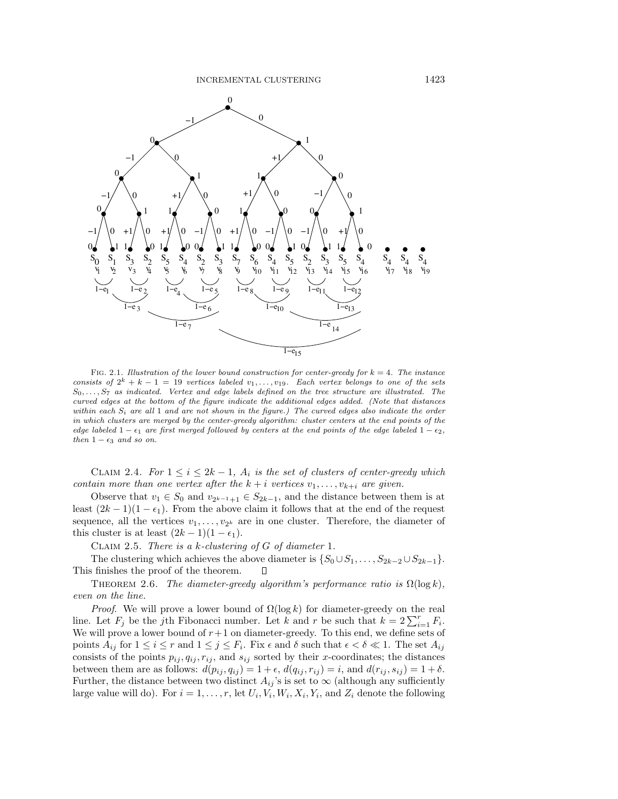

FIG. 2.1. Illustration of the lower bound construction for center-greedy for  $k = 4$ . The instance consists of  $2^k + k - 1 = 19$  vertices labeled  $v_1, \ldots, v_{19}$ . Each vertex belongs to one of the sets  $S_0, \ldots, S_7$  as indicated. Vertex and edge labels defined on the tree structure are illustrated. The curved edges at the bottom of the figure indicate the additional edges added. (Note that distances within each  $S_i$  are all 1 and are not shown in the figure.) The curved edges also indicate the order in which clusters are merged by the center-greedy algorithm: cluster centers at the end points of the edge labeled  $1 - \epsilon_1$  are first merged followed by centers at the end points of the edge labeled  $1 - \epsilon_2$ , then  $1 - \epsilon_3$  and so on.

CLAIM 2.4. For  $1 \leq i \leq 2k-1$ ,  $A_i$  is the set of clusters of center-greedy which contain more than one vertex after the  $k + i$  vertices  $v_1, \ldots, v_{k+i}$  are given.

Observe that  $v_1 \in S_0$  and  $v_{2^{k-1}+1} \in S_{2k-1}$ , and the distance between them is at least  $(2k-1)(1-\epsilon_1)$ . From the above claim it follows that at the end of the request sequence, all the vertices  $v_1, \ldots, v_{2^k}$  are in one cluster. Therefore, the diameter of this cluster is at least  $(2k-1)(1-\epsilon_1)$ .

CLAIM 2.5. There is a k-clustering of  $G$  of diameter 1.

The clustering which achieves the above diameter is  $\{S_0 \cup S_1, \ldots, S_{2k-2} \cup S_{2k-1}\}\.$ <br>s finishes the proof of the theorem.  $\square$ This finishes the proof of the theorem.

THEOREM 2.6. The diameter-greedy algorithm's performance ratio is  $\Omega(\log k)$ , even on the line.

*Proof.* We will prove a lower bound of  $\Omega(\log k)$  for diameter-greedy on the real line. Let  $F_j$  be the j<sup>th</sup> Fibonacci number. Let k and r be such that  $k = 2\sum_{i=1}^r F_i$ . We will prove a lower bound of  $r+1$  on diameter-greedy. To this end, we define sets of points  $A_{ij}$  for  $1 \le i \le r$  and  $1 \le j \le F_i$ . Fix  $\epsilon$  and  $\delta$  such that  $\epsilon < \delta \ll 1$ . The set  $A_{ij}$ consists of the points  $p_{ij}, q_{ij}, r_{ij}$ , and  $s_{ij}$  sorted by their x-coordinates; the distances between them are as follows:  $d(p_{ij}, q_{ij}) = 1 + \epsilon$ ,  $d(q_{ij}, r_{ij}) = i$ , and  $d(r_{ij}, s_{ij}) = 1 + \delta$ . Further, the distance between two distinct  $A_{ij}$ 's is set to  $\infty$  (although any sufficiently large value will do). For  $i = 1, \ldots, r$ , let  $U_i, V_i, W_i, X_i, Y_i$ , and  $Z_i$  denote the following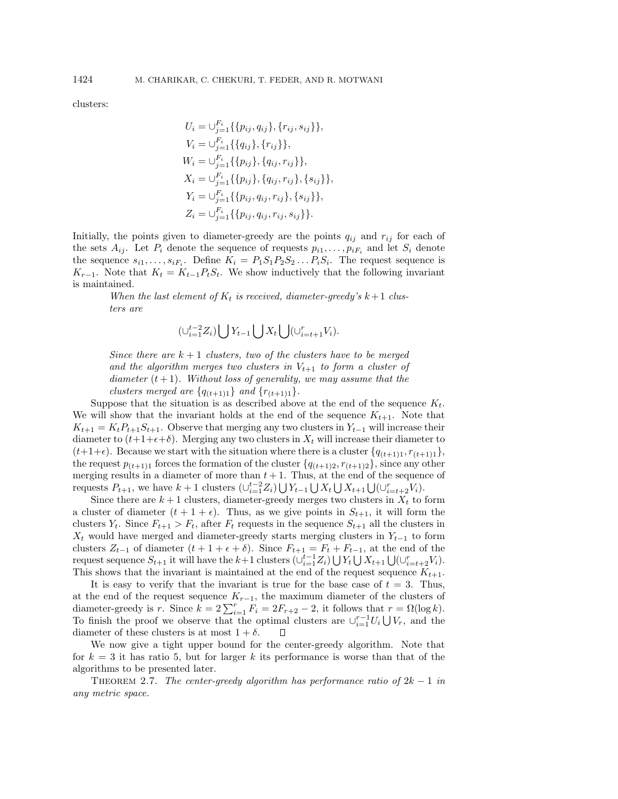clusters:

$$
U_i = \bigcup_{j=1}^{F_i} \{ \{p_{ij}, q_{ij}\}, \{r_{ij}, s_{ij}\} \},
$$
  
\n
$$
V_i = \bigcup_{j=1}^{F_i} \{ \{q_{ij}\}, \{r_{ij}\} \},
$$
  
\n
$$
W_i = \bigcup_{j=1}^{F_i} \{ \{p_{ij}\}, \{q_{ij}, r_{ij}\} \},
$$
  
\n
$$
X_i = \bigcup_{j=1}^{F_i} \{ \{p_{ij}\}, \{q_{ij}, r_{ij}\}, \{s_{ij}\} \},
$$
  
\n
$$
Y_i = \bigcup_{j=1}^{F_i} \{ \{p_{ij}, q_{ij}, r_{ij}\}, \{s_{ij}\} \},
$$
  
\n
$$
Z_i = \bigcup_{j=1}^{F_i} \{ \{p_{ij}, q_{ij}, r_{ij}, s_{ij}\} \}.
$$

Initially, the points given to diameter-greedy are the points  $q_{ij}$  and  $r_{ij}$  for each of the sets  $A_{ij}$ . Let  $P_i$  denote the sequence of requests  $p_{i1}, \ldots, p_{iF_i}$  and let  $S_i$  denote the sequence  $s_{i1},\ldots,s_{iF_i}$ . Define  $K_i = P_1S_1P_2S_2\ldots P_iS_i$ . The request sequence is  $K_{r-1}$ . Note that  $K_t = K_{t-1}P_tS_t$ . We show inductively that the following invariant is maintained.

When the last element of  $K_t$  is received, diameter-greedy's  $k+1$  clusters are

$$
(\cup_{i=1}^{t-2} Z_i) \bigcup Y_{t-1} \bigcup X_t \bigcup (\cup_{i=t+1}^r V_i).
$$

Since there are  $k + 1$  clusters, two of the clusters have to be merged and the algorithm merges two clusters in  $V_{t+1}$  to form a cluster of diameter  $(t+1)$ . Without loss of generality, we may assume that the clusters merged are  $\{q_{(t+1)1}\}\$  and  $\{r_{(t+1)1}\}\$ .

Suppose that the situation is as described above at the end of the sequence  $K_t$ . We will show that the invariant holds at the end of the sequence  $K_{t+1}$ . Note that  $K_{t+1} = K_t P_{t+1} S_{t+1}$ . Observe that merging any two clusters in  $Y_{t-1}$  will increase their diameter to  $(t+1+\epsilon+\delta)$ . Merging any two clusters in  $X_t$  will increase their diameter to  $(t+1+\epsilon)$ . Because we start with the situation where there is a cluster  $\{q_{(t+1)1}, r_{(t+1)1}\},$ the request  $p_{(t+1)1}$  forces the formation of the cluster  $\{q_{(t+1)2}, r_{(t+1)2}\}$ , since any other merging results in a diameter of more than  $t + 1$ . Thus, at the end of the sequence of requests  $P_{t+1}$ , we have  $k+1$  clusters  $(\cup_{i=1}^{t-2} Z_i) \bigcup Y_{t-1} \bigcup X_t \bigcup X_{t+1} \bigcup (\cup_{i=t+2}^{r} V_i)$ .

Since there are  $k+1$  clusters, diameter-greedy merges two clusters in  $X_t$  to form a cluster of diameter  $(t + 1 + \epsilon)$ . Thus, as we give points in  $S_{t+1}$ , it will form the clusters  $Y_t$ . Since  $F_{t+1} > F_t$ , after  $F_t$  requests in the sequence  $S_{t+1}$  all the clusters in  $X_t$  would have merged and diameter-greedy starts merging clusters in  $Y_{t-1}$  to form clusters  $Z_{t-1}$  of diameter  $(t + 1 + \epsilon + \delta)$ . Since  $F_{t+1} = F_t + F_{t-1}$ , at the end of the request sequence  $S_{t+1}$  it will have the  $k+1$  clusters  $(\cup_{i=1}^{t-1} Z_i) \bigcup Y_t \bigcup X_{t+1} \bigcup (\cup_{i=t+2}^{r} V_i)$ . This shows that the invariant is maintained at the end of the request sequence  $K_{t+1}$ .

It is easy to verify that the invariant is true for the base case of  $t = 3$ . Thus, at the end of the request sequence  $K_{r-1}$ , the maximum diameter of the clusters of diameter-greedy is r. Since  $k = 2\sum_{i=1}^{r} F_i = 2F_{r+2} - 2$ , it follows that  $r = \Omega(\log k)$ . To finish the proof we observe that the optimal clusters are  $\cup_{i=1}^{r-1} U_i \bigcup V_r$ , and the diameter of these clusters is at most  $1 + \delta$ . П

We now give a tight upper bound for the center-greedy algorithm. Note that for  $k = 3$  it has ratio 5, but for larger k its performance is worse than that of the algorithms to be presented later.

THEOREM 2.7. The center-greedy algorithm has performance ratio of  $2k - 1$  in any metric space.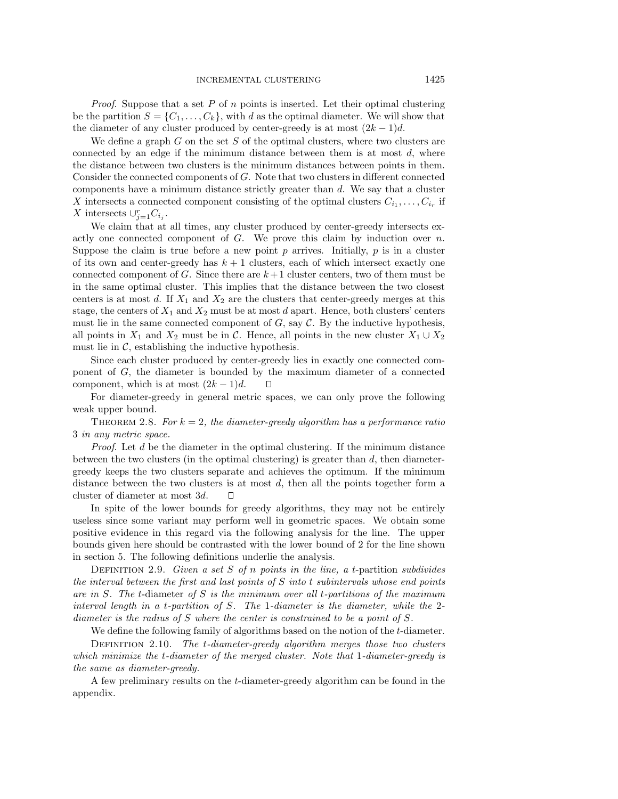*Proof.* Suppose that a set  $P$  of  $n$  points is inserted. Let their optimal clustering be the partition  $S = \{C_1, \ldots, C_k\}$ , with d as the optimal diameter. We will show that the diameter of any cluster produced by center-greedy is at most  $(2k-1)d$ .

We define a graph  $G$  on the set  $S$  of the optimal clusters, where two clusters are connected by an edge if the minimum distance between them is at most  $d$ , where the distance between two clusters is the minimum distances between points in them. Consider the connected components of G. Note that two clusters in different connected components have a minimum distance strictly greater than d. We say that a cluster X intersects a connected component consisting of the optimal clusters  $C_{i_1}, \ldots, C_{i_r}$  if X intersects  $\cup_{j=1}^r C_{i_j}$ .

We claim that at all times, any cluster produced by center-greedy intersects exactly one connected component of  $G$ . We prove this claim by induction over  $n$ . Suppose the claim is true before a new point  $p$  arrives. Initially,  $p$  is in a cluster of its own and center-greedy has  $k + 1$  clusters, each of which intersect exactly one connected component of G. Since there are  $k+1$  cluster centers, two of them must be in the same optimal cluster. This implies that the distance between the two closest centers is at most  $d$ . If  $X_1$  and  $X_2$  are the clusters that center-greedy merges at this stage, the centers of  $X_1$  and  $X_2$  must be at most d apart. Hence, both clusters' centers must lie in the same connected component of  $G$ , say  $\mathcal C$ . By the inductive hypothesis, all points in  $X_1$  and  $X_2$  must be in C. Hence, all points in the new cluster  $X_1 \cup X_2$ must lie in  $\mathcal{C}$ , establishing the inductive hypothesis.

Since each cluster produced by center-greedy lies in exactly one connected component of G, the diameter is bounded by the maximum diameter of a connected component, which is at most  $(2k-1)d$ . □

For diameter-greedy in general metric spaces, we can only prove the following weak upper bound.

THEOREM 2.8. For  $k = 2$ , the diameter-greedy algorithm has a performance ratio 3 in any metric space.

Proof. Let d be the diameter in the optimal clustering. If the minimum distance between the two clusters (in the optimal clustering) is greater than  $d$ , then diametergreedy keeps the two clusters separate and achieves the optimum. If the minimum distance between the two clusters is at most  $d$ , then all the points together form a cluster of diameter at most 3d. П

In spite of the lower bounds for greedy algorithms, they may not be entirely useless since some variant may perform well in geometric spaces. We obtain some positive evidence in this regard via the following analysis for the line. The upper bounds given here should be contrasted with the lower bound of 2 for the line shown in section 5. The following definitions underlie the analysis.

DEFINITION 2.9. Given a set S of n points in the line, a t-partition subdivides the interval between the first and last points of  $S$  into t subintervals whose end points are in S. The t-diameter of S is the minimum over all t-partitions of the maximum interval length in a t-partition of  $S$ . The 1-diameter is the diameter, while the 2diameter is the radius of S where the center is constrained to be a point of S.

We define the following family of algorithms based on the notion of the t-diameter.

DEFINITION 2.10. The  $t$ -diameter-greedy algorithm merges those two clusters which minimize the t-diameter of the merged cluster. Note that 1-diameter-greedy is the same as diameter-greedy.

A few preliminary results on the t-diameter-greedy algorithm can be found in the appendix.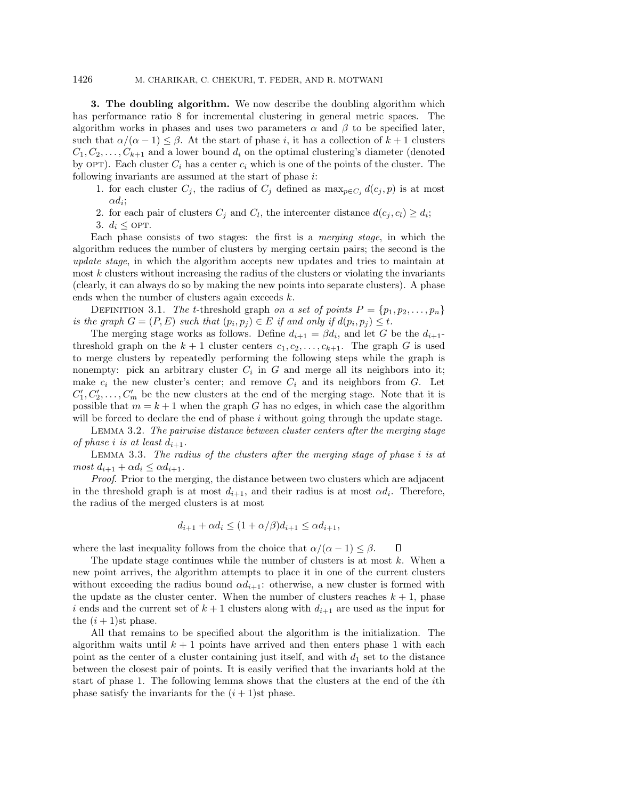**3. The doubling algorithm.** We now describe the doubling algorithm which has performance ratio 8 for incremental clustering in general metric spaces. The algorithm works in phases and uses two parameters  $\alpha$  and  $\beta$  to be specified later, such that  $\alpha/(\alpha-1) \leq \beta$ . At the start of phase i, it has a collection of  $k+1$  clusters  $C_1, C_2, \ldots, C_{k+1}$  and a lower bound  $d_i$  on the optimal clustering's diameter (denoted by OPT). Each cluster  $C_i$  has a center  $c_i$  which is one of the points of the cluster. The following invariants are assumed at the start of phase  $i$ :

- 1. for each cluster  $C_j$ , the radius of  $C_j$  defined as  $\max_{p \in C_j} d(c_j, p)$  is at most  $\alpha d_i$ ;
- 2. for each pair of clusters  $C_i$  and  $C_l$ , the intercenter distance  $d(c_i, c_l) \geq d_i$ ;
- 3.  $d_i \leq \text{OPT}$ .

Each phase consists of two stages: the first is a merging stage, in which the algorithm reduces the number of clusters by merging certain pairs; the second is the update stage, in which the algorithm accepts new updates and tries to maintain at most k clusters without increasing the radius of the clusters or violating the invariants (clearly, it can always do so by making the new points into separate clusters). A phase ends when the number of clusters again exceeds k.

DEFINITION 3.1. The t-threshold graph on a set of points  $P = \{p_1, p_2, \ldots, p_n\}$ is the graph  $G = (P, E)$  such that  $(p_i, p_j) \in E$  if and only if  $d(p_i, p_j) \leq t$ .

The merging stage works as follows. Define  $d_{i+1} = \beta d_i$ , and let G be the  $d_{i+1}$ threshold graph on the  $k + 1$  cluster centers  $c_1, c_2, \ldots, c_{k+1}$ . The graph G is used to merge clusters by repeatedly performing the following steps while the graph is nonempty: pick an arbitrary cluster  $C_i$  in  $G$  and merge all its neighbors into it; make  $c_i$  the new cluster's center; and remove  $C_i$  and its neighbors from  $G$ . Let  $C'_1, C'_2, \ldots, C'_m$  be the new clusters at the end of the merging stage. Note that it is possible that  $m = k + 1$  when the graph G has no edges, in which case the algorithm will be forced to declare the end of phase  $i$  without going through the update stage.

Lemma 3.2. The pairwise distance between cluster centers after the merging stage of phase i is at least  $d_{i+1}$ .

LEMMA 3.3. The radius of the clusters after the merging stage of phase  $i$  is at most  $d_{i+1} + \alpha d_i \leq \alpha d_{i+1}$ .

Proof. Prior to the merging, the distance between two clusters which are adjacent in the threshold graph is at most  $d_{i+1}$ , and their radius is at most  $\alpha d_i$ . Therefore, the radius of the merged clusters is at most

$$
d_{i+1} + \alpha d_i \le (1 + \alpha/\beta)d_{i+1} \le \alpha d_{i+1},
$$

where the last inequality follows from the choice that  $\alpha/(\alpha - 1) \leq \beta$ .

The update stage continues while the number of clusters is at most  $k$ . When a new point arrives, the algorithm attempts to place it in one of the current clusters without exceeding the radius bound  $\alpha d_{i+1}$ : otherwise, a new cluster is formed with the update as the cluster center. When the number of clusters reaches  $k + 1$ , phase i ends and the current set of  $k + 1$  clusters along with  $d_{i+1}$  are used as the input for the  $(i + 1)$ st phase.

All that remains to be specified about the algorithm is the initialization. The algorithm waits until  $k + 1$  points have arrived and then enters phase 1 with each point as the center of a cluster containing just itself, and with  $d_1$  set to the distance between the closest pair of points. It is easily verified that the invariants hold at the start of phase 1. The following lemma shows that the clusters at the end of the ith phase satisfy the invariants for the  $(i + 1)$ st phase.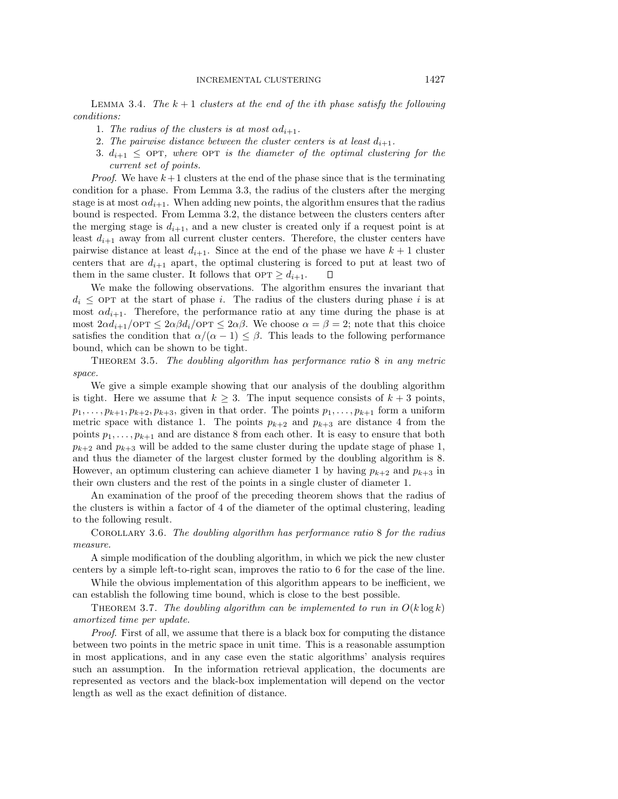LEMMA 3.4. The  $k+1$  clusters at the end of the ith phase satisfy the following conditions:

- 1. The radius of the clusters is at most  $\alpha d_{i+1}$ .
- 2. The pairwise distance between the cluster centers is at least  $d_{i+1}$ .
- 3.  $d_{i+1} \leq$  OPT, where OPT is the diameter of the optimal clustering for the current set of points.

*Proof.* We have  $k+1$  clusters at the end of the phase since that is the terminating condition for a phase. From Lemma 3.3, the radius of the clusters after the merging stage is at most  $\alpha d_{i+1}$ . When adding new points, the algorithm ensures that the radius bound is respected. From Lemma 3.2, the distance between the clusters centers after the merging stage is  $d_{i+1}$ , and a new cluster is created only if a request point is at least  $d_{i+1}$  away from all current cluster centers. Therefore, the cluster centers have pairwise distance at least  $d_{i+1}$ . Since at the end of the phase we have  $k+1$  cluster centers that are  $d_{i+1}$  apart, the optimal clustering is forced to put at least two of them in the same cluster. It follows that  $\text{OPT} \geq d_{i+1}$ .  $\Box$ 

We make the following observations. The algorithm ensures the invariant that  $d_i \leq$  OPT at the start of phase i. The radius of the clusters during phase i is at most  $\alpha d_{i+1}$ . Therefore, the performance ratio at any time during the phase is at most  $2\alpha d_{i+1}/\text{OPT} \leq 2\alpha \beta d_i/\text{OPT} \leq 2\alpha \beta$ . We choose  $\alpha = \beta = 2$ ; note that this choice satisfies the condition that  $\alpha/(\alpha-1) \leq \beta$ . This leads to the following performance bound, which can be shown to be tight.

THEOREM 3.5. The doubling algorithm has performance ratio  $8$  in any metric space.

We give a simple example showing that our analysis of the doubling algorithm is tight. Here we assume that  $k \geq 3$ . The input sequence consists of  $k + 3$  points,  $p_1,\ldots,p_{k+1},p_{k+2},p_{k+3}$ , given in that order. The points  $p_1,\ldots,p_{k+1}$  form a uniform metric space with distance 1. The points  $p_{k+2}$  and  $p_{k+3}$  are distance 4 from the points  $p_1, \ldots, p_{k+1}$  and are distance 8 from each other. It is easy to ensure that both  $p_{k+2}$  and  $p_{k+3}$  will be added to the same cluster during the update stage of phase 1, and thus the diameter of the largest cluster formed by the doubling algorithm is 8. However, an optimum clustering can achieve diameter 1 by having  $p_{k+2}$  and  $p_{k+3}$  in their own clusters and the rest of the points in a single cluster of diameter 1.

An examination of the proof of the preceding theorem shows that the radius of the clusters is within a factor of 4 of the diameter of the optimal clustering, leading to the following result.

Corollary 3.6. The doubling algorithm has performance ratio 8 for the radius measure.

A simple modification of the doubling algorithm, in which we pick the new cluster centers by a simple left-to-right scan, improves the ratio to 6 for the case of the line.

While the obvious implementation of this algorithm appears to be inefficient, we can establish the following time bound, which is close to the best possible.

THEOREM 3.7. The doubling algorithm can be implemented to run in  $O(k \log k)$ amortized time per update.

Proof. First of all, we assume that there is a black box for computing the distance between two points in the metric space in unit time. This is a reasonable assumption in most applications, and in any case even the static algorithms' analysis requires such an assumption. In the information retrieval application, the documents are represented as vectors and the black-box implementation will depend on the vector length as well as the exact definition of distance.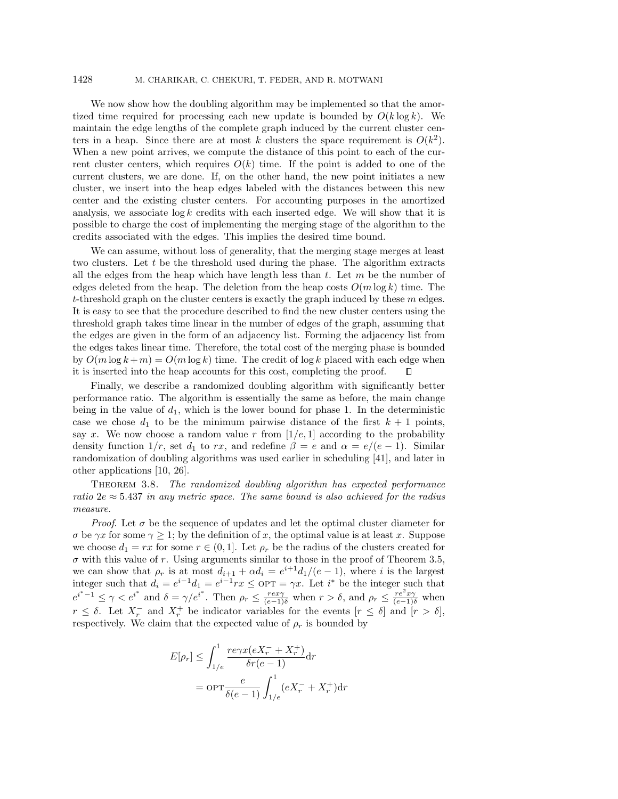### 1428 M. CHARIKAR, C. CHEKURI, T. FEDER, AND R. MOTWANI

We now show how the doubling algorithm may be implemented so that the amortized time required for processing each new update is bounded by  $O(k \log k)$ . We maintain the edge lengths of the complete graph induced by the current cluster centers in a heap. Since there are at most k clusters the space requirement is  $O(k^2)$ . When a new point arrives, we compute the distance of this point to each of the current cluster centers, which requires  $O(k)$  time. If the point is added to one of the current clusters, we are done. If, on the other hand, the new point initiates a new cluster, we insert into the heap edges labeled with the distances between this new center and the existing cluster centers. For accounting purposes in the amortized analysis, we associate  $\log k$  credits with each inserted edge. We will show that it is possible to charge the cost of implementing the merging stage of the algorithm to the credits associated with the edges. This implies the desired time bound.

We can assume, without loss of generality, that the merging stage merges at least two clusters. Let t be the threshold used during the phase. The algorithm extracts all the edges from the heap which have length less than  $t$ . Let  $m$  be the number of edges deleted from the heap. The deletion from the heap costs  $O(m \log k)$  time. The t-threshold graph on the cluster centers is exactly the graph induced by these  $m$  edges. It is easy to see that the procedure described to find the new cluster centers using the threshold graph takes time linear in the number of edges of the graph, assuming that the edges are given in the form of an adjacency list. Forming the adjacency list from the edges takes linear time. Therefore, the total cost of the merging phase is bounded by  $O(m \log k + m) = O(m \log k)$  time. The credit of  $\log k$  placed with each edge when it is inserted into the heap accounts for this cost, completing the proof.

Finally, we describe a randomized doubling algorithm with significantly better performance ratio. The algorithm is essentially the same as before, the main change being in the value of  $d_1$ , which is the lower bound for phase 1. In the deterministic case we chose  $d_1$  to be the minimum pairwise distance of the first  $k + 1$  points, say x. We now choose a random value r from  $[1/e, 1]$  according to the probability density function  $1/r$ , set  $d_1$  to rx, and redefine  $\beta = e$  and  $\alpha = e/(e-1)$ . Similar randomization of doubling algorithms was used earlier in scheduling [41], and later in other applications [10, 26].

Theorem 3.8. The randomized doubling algorithm has expected performance ratio  $2e \approx 5.437$  in any metric space. The same bound is also achieved for the radius measure.

*Proof.* Let  $\sigma$  be the sequence of updates and let the optimal cluster diameter for  $\sigma$  be  $\gamma x$  for some  $\gamma \geq 1$ ; by the definition of x, the optimal value is at least x. Suppose we choose  $d_1 = rx$  for some  $r \in (0, 1]$ . Let  $\rho_r$  be the radius of the clusters created for  $\sigma$  with this value of r. Using arguments similar to those in the proof of Theorem 3.5, we can show that  $\rho_r$  is at most  $d_{i+1} + \alpha d_i = e^{i+1}d_1/(e-1)$ , where i is the largest integer such that  $d_i = e^{i-1}d_1 = e^{i-1}rx \le \text{OPT} = \gamma x$ . Let  $i^*$  be the integer such that  $e^{i^*-1} \leq \gamma < e^{i^*}$  and  $\delta = \gamma/e^{i^*}$ . Then  $\rho_r \leq \frac{r e^{i\gamma}}{(e-1)\delta}$  when  $r > \delta$ , and  $\rho_r \leq \frac{r e^{i2} x \gamma}{(e-1)\delta}$  when  $r \leq \delta$ . Let  $X_r^-$  and  $X_r^+$  be indicator variables for the events  $[r \leq \delta]$  and  $[r > \delta]$ , respectively. We claim that the expected value of  $\rho_r$  is bounded by

$$
E[\rho_r] \le \int_{1/e}^1 \frac{r e \gamma x (e X_r^- + X_r^+)}{\delta r (e - 1)} dr
$$
  
= 
$$
\text{OPT} \frac{e}{\delta(e - 1)} \int_{1/e}^1 (e X_r^- + X_r^+) dr
$$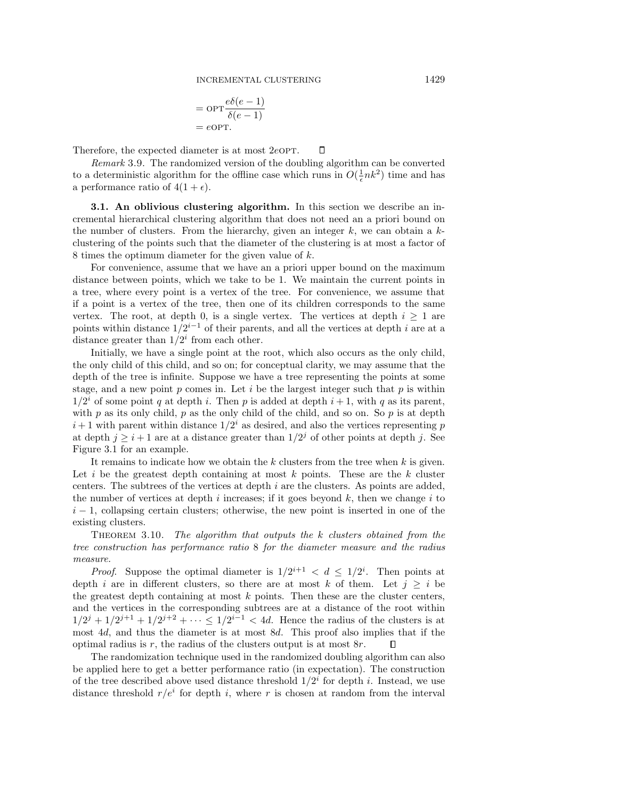$$
= \text{OPT} \frac{e\delta(e-1)}{\delta(e-1)}
$$

$$
= e\text{OPT}.
$$

Therefore, the expected diameter is at most 2eOPT. П

Remark 3.9. The randomized version of the doubling algorithm can be converted to a deterministic algorithm for the offline case which runs in  $O(\frac{1}{\epsilon}nk^2)$  time and has a performance ratio of  $4(1 + \epsilon)$ .

**3.1. An oblivious clustering algorithm.** In this section we describe an incremental hierarchical clustering algorithm that does not need an a priori bound on the number of clusters. From the hierarchy, given an integer  $k$ , we can obtain a  $k$ clustering of the points such that the diameter of the clustering is at most a factor of 8 times the optimum diameter for the given value of k.

For convenience, assume that we have an a priori upper bound on the maximum distance between points, which we take to be 1. We maintain the current points in a tree, where every point is a vertex of the tree. For convenience, we assume that if a point is a vertex of the tree, then one of its children corresponds to the same vertex. The root, at depth 0, is a single vertex. The vertices at depth  $i \geq 1$  are points within distance  $1/2^{i-1}$  of their parents, and all the vertices at depth i are at a distance greater than  $1/2^i$  from each other.

Initially, we have a single point at the root, which also occurs as the only child, the only child of this child, and so on; for conceptual clarity, we may assume that the depth of the tree is infinite. Suppose we have a tree representing the points at some stage, and a new point  $p$  comes in. Let  $i$  be the largest integer such that  $p$  is within  $1/2<sup>i</sup>$  of some point q at depth i. Then p is added at depth  $i + 1$ , with q as its parent, with p as its only child, p as the only child of the child, and so on. So p is at depth  $i+1$  with parent within distance  $1/2<sup>i</sup>$  as desired, and also the vertices representing p at depth  $j \geq i+1$  are at a distance greater than  $1/2<sup>j</sup>$  of other points at depth j. See Figure 3.1 for an example.

It remains to indicate how we obtain the  $k$  clusters from the tree when  $k$  is given. Let i be the greatest depth containing at most  $k$  points. These are the  $k$  cluster centers. The subtrees of the vertices at depth  $i$  are the clusters. As points are added, the number of vertices at depth  $i$  increases; if it goes beyond  $k$ , then we change  $i$  to  $i - 1$ , collapsing certain clusters; otherwise, the new point is inserted in one of the existing clusters.

THEOREM 3.10. The algorithm that outputs the  $k$  clusters obtained from the tree construction has performance ratio 8 for the diameter measure and the radius measure.

*Proof.* Suppose the optimal diameter is  $1/2^{i+1} < d \leq 1/2^i$ . Then points at depth i are in different clusters, so there are at most k of them. Let  $j \geq i$  be the greatest depth containing at most  $k$  points. Then these are the cluster centers, and the vertices in the corresponding subtrees are at a distance of the root within  $1/2^{j} + 1/2^{j+1} + 1/2^{j+2} + \cdots \leq 1/2^{i-1} < 4d$ . Hence the radius of the clusters is at most 4d, and thus the diameter is at most 8d. This proof also implies that if the optimal radius is  $r$ , the radius of the clusters output is at most  $8r$ .

The randomization technique used in the randomized doubling algorithm can also be applied here to get a better performance ratio (in expectation). The construction of the tree described above used distance threshold  $1/2^i$  for depth i. Instead, we use distance threshold  $r/e^i$  for depth i, where r is chosen at random from the interval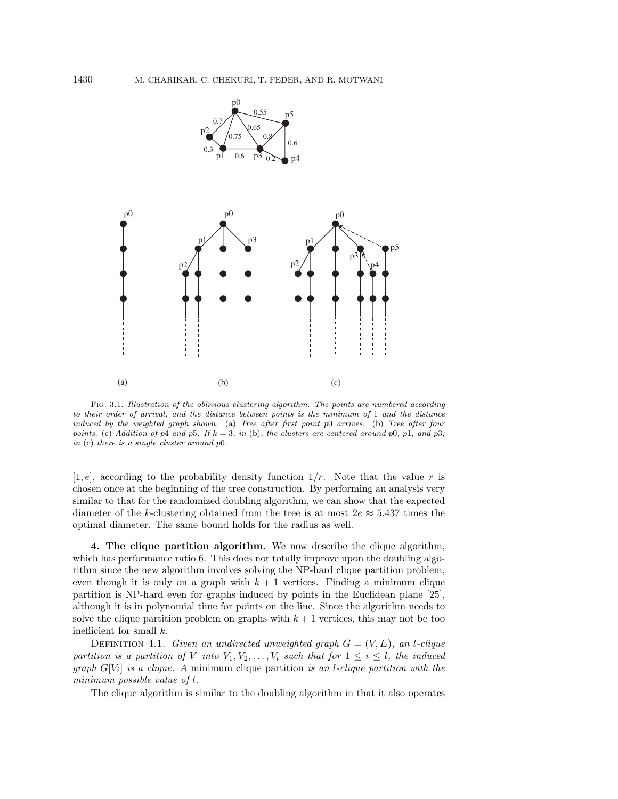

FIG. 3.1. Illustration of the oblivious clustering algorithm. The points are numbered according to their order of arrival, and the distance between points is the minimum of 1 and the distance induced by the weighted graph shown. (a) Tree after first point p0 arrives. (b) Tree after four points. (c) Addition of p4 and p5. If  $k = 3$ , in (b), the clusters are centered around p0, p1, and p3; in (c) there is a single cluster around p0.

[1, e], according to the probability density function  $1/r$ . Note that the value r is chosen once at the beginning of the tree construction. By performing an analysis very similar to that for the randomized doubling algorithm, we can show that the expected diameter of the k-clustering obtained from the tree is at most  $2e \approx 5.437$  times the optimal diameter. The same bound holds for the radius as well.

**4. The clique partition algorithm.** We now describe the clique algorithm, which has performance ratio 6. This does not totally improve upon the doubling algorithm since the new algorithm involves solving the NP-hard clique partition problem, even though it is only on a graph with  $k + 1$  vertices. Finding a minimum clique partition is NP-hard even for graphs induced by points in the Euclidean plane [25], although it is in polynomial time for points on the line. Since the algorithm needs to solve the clique partition problem on graphs with  $k + 1$  vertices, this may not be too inefficient for small k.

DEFINITION 4.1. Given an undirected unweighted graph  $G = (V, E)$ , an l-clique partition is a partition of V into  $V_1, V_2, \ldots, V_l$  such that for  $1 \leq i \leq l$ , the induced graph  $G[V_i]$  is a clique. A minimum clique partition is an *l*-clique partition with the minimum possible value of l.

The clique algorithm is similar to the doubling algorithm in that it also operates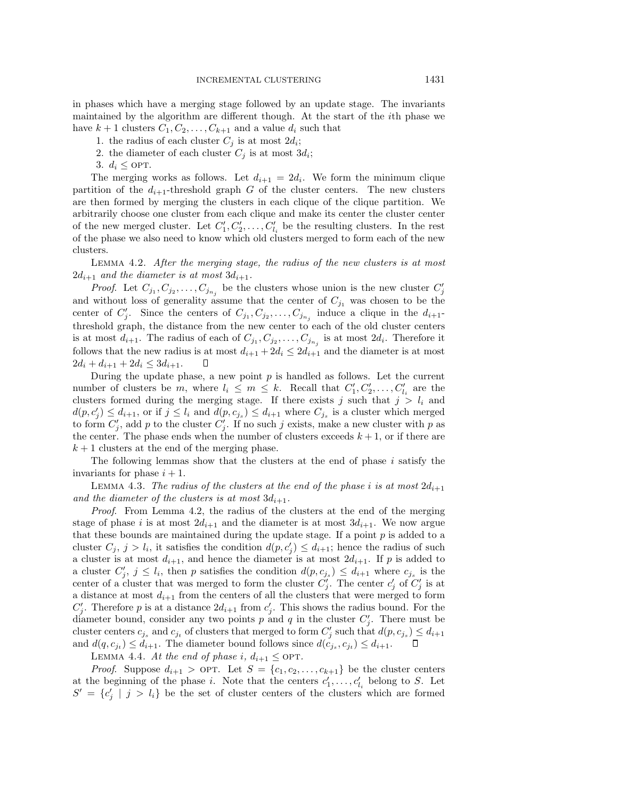in phases which have a merging stage followed by an update stage. The invariants maintained by the algorithm are different though. At the start of the ith phase we have  $k + 1$  clusters  $C_1, C_2, \ldots, C_{k+1}$  and a value  $d_i$  such that

- 1. the radius of each cluster  $C_j$  is at most  $2d_i$ ;
- 2. the diameter of each cluster  $C_j$  is at most  $3d_i$ ;
- 3.  $d_i \leq \text{OPT}$ .

The merging works as follows. Let  $d_{i+1} = 2d_i$ . We form the minimum clique partition of the  $d_{i+1}$ -threshold graph G of the cluster centers. The new clusters are then formed by merging the clusters in each clique of the clique partition. We arbitrarily choose one cluster from each clique and make its center the cluster center of the new merged cluster. Let  $C'_1, C'_2, \ldots, C'_{l_i}$  be the resulting clusters. In the rest of the phase we also need to know which old clusters merged to form each of the new clusters.

Lemma 4.2. After the merging stage, the radius of the new clusters is at most  $2d_{i+1}$  and the diameter is at most  $3d_{i+1}$ .

*Proof.* Let  $C_{j_1}, C_{j_2}, \ldots, C_{j_{n_j}}$  be the clusters whose union is the new cluster  $C'_j$ and without loss of generality assume that the center of  $C_{j_1}$  was chosen to be the center of  $C'_j$ . Since the centers of  $C_{j_1}, C_{j_2}, \ldots, C_{j_{n_j}}$  induce a clique in the  $d_{i+1}$ threshold graph, the distance from the new center to each of the old cluster centers is at most  $d_{i+1}$ . The radius of each of  $C_{j_1}, C_{j_2}, \ldots, C_{j_{n_i}}$  is at most  $2d_i$ . Therefore it follows that the new radius is at most  $d_{i+1} + 2d_i \leq 2d_{i+1}$  and the diameter is at most  $2d_i + d_{i+1} + 2d_i \leq 3d_{i+1}.$  $\Box$ 

During the update phase, a new point  $p$  is handled as follows. Let the current number of clusters be m, where  $l_i \leq m \leq k$ . Recall that  $C'_1, C'_2, \ldots, C'_{l_i}$  are the clusters formed during the merging stage. If there exists j such that  $j>l_i$  and  $d(p, c'_j) \leq d_{i+1}$ , or if  $j \leq l_i$  and  $d(p, c_{j_s}) \leq d_{i+1}$  where  $C_{j_s}$  is a cluster which merged to form  $C'_{j}$ , add p to the cluster  $C'_{j}$ . If no such j exists, make a new cluster with p as the center. The phase ends when the number of clusters exceeds  $k + 1$ , or if there are  $k + 1$  clusters at the end of the merging phase.

The following lemmas show that the clusters at the end of phase  $i$  satisfy the invariants for phase  $i + 1$ .

LEMMA 4.3. The radius of the clusters at the end of the phase i is at most  $2d_{i+1}$ and the diameter of the clusters is at most  $3d_{i+1}$ .

Proof. From Lemma 4.2, the radius of the clusters at the end of the merging stage of phase i is at most  $2d_{i+1}$  and the diameter is at most  $3d_{i+1}$ . We now argue that these bounds are maintained during the update stage. If a point  $p$  is added to a cluster  $C_j$ ,  $j > l_i$ , it satisfies the condition  $d(p, c'_j) \leq d_{i+1}$ ; hence the radius of such a cluster is at most  $d_{i+1}$ , and hence the diameter is at most  $2d_{i+1}$ . If p is added to a cluster  $C'_j$ ,  $j \leq l_i$ , then p satisfies the condition  $d(p, c_{j_s}) \leq d_{i+1}$  where  $c_{j_s}$  is the center of a cluster that was merged to form the cluster  $C'_j$ . The center  $c'_j$  of  $C'_j$  is at a distance at most  $d_{i+1}$  from the centers of all the clusters that were merged to form  $C'_{j}$ . Therefore p is at a distance  $2d_{i+1}$  from  $c'_{j}$ . This shows the radius bound. For the diameter bound, consider any two points p and q in the cluster  $C'_j$ . There must be cluster centers  $c_{j_s}$  and  $c_{j_t}$  of clusters that merged to form  $C'_j$  such that  $d(p, c_{j_s}) \leq d_{i+1}$ and  $d(q, c_{j_t}) \leq d_{i+1}$ . The diameter bound follows since  $d(c_{j_s}, c_{j_t}) \leq d_{i+1}$ .

LEMMA 4.4. At the end of phase i,  $d_{i+1} \leq$  OPT.

*Proof.* Suppose  $d_{i+1} >$  OPT. Let  $S = \{c_1, c_2, \ldots, c_{k+1}\}\)$  be the cluster centers at the beginning of the phase *i*. Note that the centers  $c'_1, \ldots, c'_{l_i}$  belong to *S*. Let  $S' = \{c'_j \mid j > l_i\}$  be the set of cluster centers of the clusters which are formed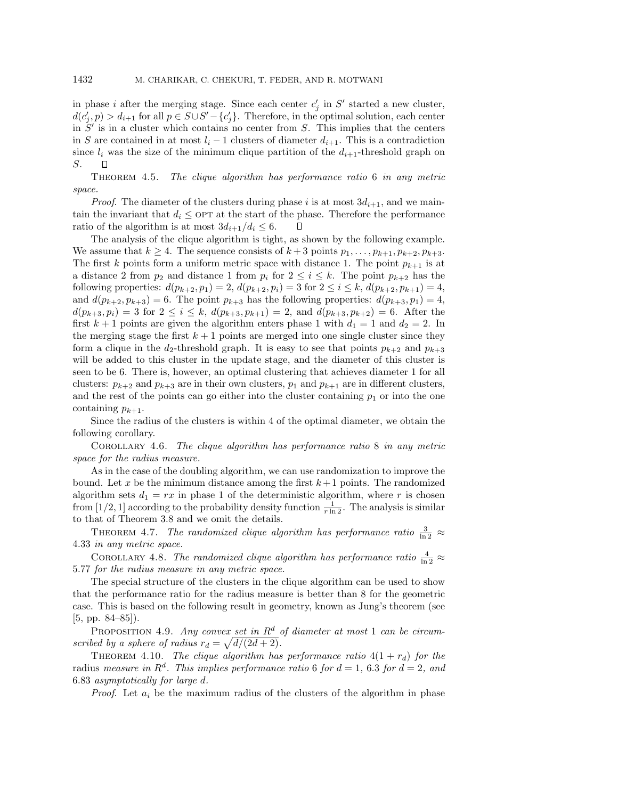in phase *i* after the merging stage. Since each center  $c'_{j}$  in S' started a new cluster,  $d(c'_{j}, p) > d_{i+1}$  for all  $p \in S \cup S' - \{c'_{j}\}\$ . Therefore, in the optimal solution, each center in  $S'$  is in a cluster which contains no center from  $S$ . This implies that the centers in S are contained in at most  $l_i - 1$  clusters of diameter  $d_{i+1}$ . This is a contradiction since  $l_i$  was the size of the minimum clique partition of the  $d_{i+1}$ -threshold graph on S.  $\Box$ 

Theorem 4.5. The clique algorithm has performance ratio 6 in any metric space.

*Proof.* The diameter of the clusters during phase i is at most  $3d_{i+1}$ , and we maintain the invariant that  $d_i \leq \text{OPT}$  at the start of the phase. Therefore the performance ratio of the algorithm is at most  $3d_{i+1}/d_i \leq 6$ .  $\Box$ 

The analysis of the clique algorithm is tight, as shown by the following example. We assume that  $k \geq 4$ . The sequence consists of  $k+3$  points  $p_1, \ldots, p_{k+1}, p_{k+2}, p_{k+3}$ . The first k points form a uniform metric space with distance 1. The point  $p_{k+1}$  is at a distance 2 from  $p_2$  and distance 1 from  $p_i$  for  $2 \leq i \leq k$ . The point  $p_{k+2}$  has the following properties:  $d(p_{k+2}, p_1) = 2$ ,  $d(p_{k+2}, p_i) = 3$  for  $2 \le i \le k$ ,  $d(p_{k+2}, p_{k+1}) = 4$ , and  $d(p_{k+2}, p_{k+3}) = 6$ . The point  $p_{k+3}$  has the following properties:  $d(p_{k+3}, p_1) = 4$ ,  $d(p_{k+3}, p_i) = 3$  for  $2 \leq i \leq k$ ,  $d(p_{k+3}, p_{k+1}) = 2$ , and  $d(p_{k+3}, p_{k+2}) = 6$ . After the first  $k + 1$  points are given the algorithm enters phase 1 with  $d_1 = 1$  and  $d_2 = 2$ . In the merging stage the first  $k + 1$  points are merged into one single cluster since they form a clique in the d<sub>2</sub>-threshold graph. It is easy to see that points  $p_{k+2}$  and  $p_{k+3}$ will be added to this cluster in the update stage, and the diameter of this cluster is seen to be 6. There is, however, an optimal clustering that achieves diameter 1 for all clusters:  $p_{k+2}$  and  $p_{k+3}$  are in their own clusters,  $p_1$  and  $p_{k+1}$  are in different clusters, and the rest of the points can go either into the cluster containing  $p_1$  or into the one containing  $p_{k+1}$ .

Since the radius of the clusters is within 4 of the optimal diameter, we obtain the following corollary.

Corollary 4.6. The clique algorithm has performance ratio 8 in any metric space for the radius measure.

As in the case of the doubling algorithm, we can use randomization to improve the bound. Let x be the minimum distance among the first  $k+1$  points. The randomized algorithm sets  $d_1 = rx$  in phase 1 of the deterministic algorithm, where r is chosen from [1/2, 1] according to the probability density function  $\frac{1}{r \ln 2}$ . The analysis is similar to that of Theorem 3.8 and we omit the details.

THEOREM 4.7. The randomized clique algorithm has performance ratio  $\frac{3}{\ln 2} \approx$ 4.33 in any metric space.

COROLLARY 4.8. The randomized clique algorithm has performance ratio  $\frac{4}{\ln 2} \approx$ 5.77 for the radius measure in any metric space.

The special structure of the clusters in the clique algorithm can be used to show that the performance ratio for the radius measure is better than 8 for the geometric case. This is based on the following result in geometry, known as Jung's theorem (see [5, pp. 84–85]).

PROPOSITION 4.9. Any convex set in  $R^d$  of diameter at most 1 can be circumscribed by a sphere of radius  $r_d = \sqrt{d/(2d + 2)}$ .

THEOREM 4.10. The clique algorithm has performance ratio  $4(1 + r_d)$  for the radius measure in  $\mathbb{R}^d$ . This implies performance ratio 6 for  $d = 1$ , 6.3 for  $d = 2$ , and 6.83 asymptotically for large d.

*Proof.* Let  $a_i$  be the maximum radius of the clusters of the algorithm in phase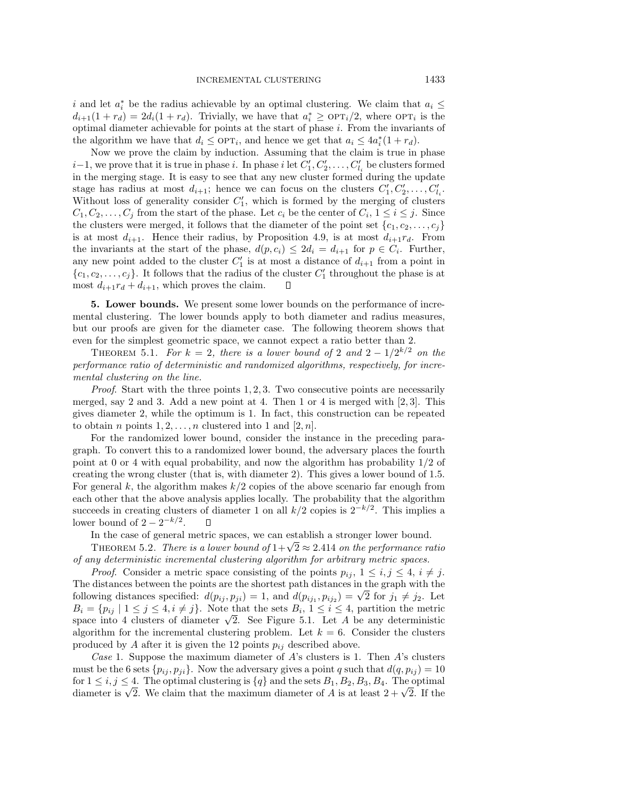i and let  $a_i^*$  be the radius achievable by an optimal clustering. We claim that  $a_i \leq$  $d_{i+1}(1 + r_d) = 2d_i(1 + r_d)$ . Trivially, we have that  $a_i^* \geq \text{OPT}_i/2$ , where  $\text{OPT}_i$  is the optimal diameter achievable for points at the start of phase  $i$ . From the invariants of the algorithm we have that  $d_i \leq \text{OPT}_i$ , and hence we get that  $a_i \leq 4a_i^*(1+r_d)$ .

Now we prove the claim by induction. Assuming that the claim is true in phase  $i-1$ , we prove that it is true in phase  $i$ . In phase  $i$  let  $C'_1, C'_2, \ldots, C'_{l_i}$  be clusters formed in the merging stage. It is easy to see that any new cluster formed during the update stage has radius at most  $d_{i+1}$ ; hence we can focus on the clusters  $C'_1, C'_2, \ldots, C'_{l_i}$ . Without loss of generality consider  $C_1'$ , which is formed by the merging of clusters  $C_1, C_2, \ldots, C_j$  from the start of the phase. Let  $c_i$  be the center of  $C_i$ ,  $1 \leq i \leq j$ . Since the clusters were merged, it follows that the diameter of the point set  $\{c_1, c_2, \ldots, c_j\}$ is at most  $d_{i+1}$ . Hence their radius, by Proposition 4.9, is at most  $d_{i+1}r_d$ . From the invariants at the start of the phase,  $d(p, c_i) \leq 2d_i = d_{i+1}$  for  $p \in C_i$ . Further, any new point added to the cluster  $C'_1$  is at most a distance of  $d_{i+1}$  from a point in  $\{c_1, c_2, \ldots, c_j\}$ . It follows that the radius of the cluster  $C'_1$  throughout the phase is at most  $d_{i+1}r_d + d_{i+1}$ , which proves the claim.  $\Box$ 

**5. Lower bounds.** We present some lower bounds on the performance of incremental clustering. The lower bounds apply to both diameter and radius measures, but our proofs are given for the diameter case. The following theorem shows that even for the simplest geometric space, we cannot expect a ratio better than 2.

THEOREM 5.1. For  $k = 2$ , there is a lower bound of 2 and  $2 - 1/2^{k/2}$  on the performance ratio of deterministic and randomized algorithms, respectively, for incremental clustering on the line.

*Proof.* Start with the three points  $1, 2, 3$ . Two consecutive points are necessarily merged, say 2 and 3. Add a new point at 4. Then 1 or 4 is merged with  $[2,3]$ . This gives diameter 2, while the optimum is 1. In fact, this construction can be repeated to obtain *n* points  $1, 2, \ldots, n$  clustered into 1 and  $[2, n]$ .

For the randomized lower bound, consider the instance in the preceding paragraph. To convert this to a randomized lower bound, the adversary places the fourth point at 0 or 4 with equal probability, and now the algorithm has probability 1/2 of creating the wrong cluster (that is, with diameter 2). This gives a lower bound of 1.5. For general k, the algorithm makes  $k/2$  copies of the above scenario far enough from each other that the above analysis applies locally. The probability that the algorithm succeeds in creating clusters of diameter 1 on all  $k/2$  copies is  $2^{-k/2}$ . This implies a lower bound of  $2 - 2^{-k/2}$ .  $\Box$ 

In the case of general metric spaces, we can establish a stronger lower bound.

THEOREM 5.2. There is a lower bound of  $1+\sqrt{2} \approx 2.414$  on the performance ratio of any deterministic incremental clustering algorithm for arbitrary metric spaces.

*Proof.* Consider a metric space consisting of the points  $p_{ij}$ ,  $1 \le i, j \le 4$ ,  $i \ne j$ . The distances between the points are the shortest path distances in the graph with the following distances specified:  $d(p_{ij}, p_{ji}) = 1$ , and  $d(p_{ij_1}, p_{ij_2}) = \sqrt{2}$  for  $j_1 \neq j_2$ . Let  $B_i = \{p_{ij} \mid 1 \leq j \leq 4, i \neq j\}.$  Note that the sets  $B_i, 1 \leq i \leq 4$ , partition the metric space into 4 clusters of diameter  $\sqrt{2}$ . See Figure 5.1. Let A be any deterministic algorithm for the incremental clustering problem. Let  $k = 6$ . Consider the clusters produced by A after it is given the 12 points  $p_{ij}$  described above.

Case 1. Suppose the maximum diameter of  $A$ 's clusters is 1. Then  $A$ 's clusters must be the 6 sets  $\{p_{ij}, p_{ji}\}.$  Now the adversary gives a point q such that  $d(q, p_{ij}) = 10$ for  $1 \le i, j \le 4$ . The optimal clustering is  $\{q\}$  and the sets  $B_1, B_2, B_3, B_4$ . The optimal diameter is  $\sqrt{2}$ . We claim that the maximum diameter of A is at least  $2 + \sqrt{2}$ . If the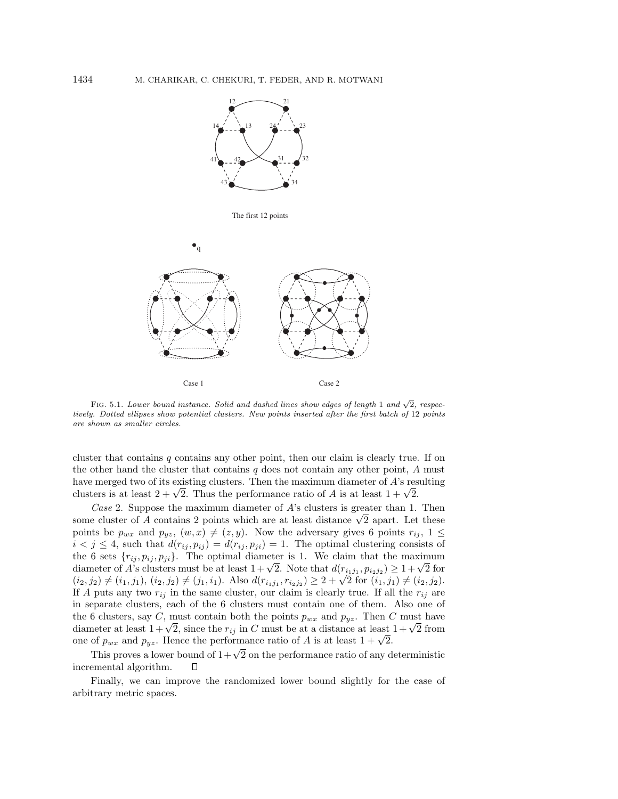

The first 12 points



FIG. 5.1. Lower bound instance. Solid and dashed lines show edges of length 1 and  $\sqrt{2}$ , respectively. Dotted ellipses show potential clusters. New points inserted after the first batch of 12 points are shown as smaller circles.

cluster that contains  $q$  contains any other point, then our claim is clearly true. If on the other hand the cluster that contains  $q$  does not contain any other point,  $A$  must have merged two of its existing clusters. Then the maximum diameter of A's resulting clusters is at least  $2 + \sqrt{2}$ . Thus the performance ratio of A is at least  $1 + \sqrt{2}$ .

Case 2. Suppose the maximum diameter of  $A$ 's clusters is greater than 1. Then some cluster of A contains 2 points which are at least distance  $\sqrt{2}$  apart. Let these points be  $p_{wx}$  and  $p_{yz}$ ,  $(w, x) \neq (z, y)$ . Now the adversary gives 6 points  $r_{ij}$ ,  $1 \leq$  $i < j \leq 4$ , such that  $d(r_{ij}, p_{ij}) = d(r_{ij}, p_{ji}) = 1$ . The optimal clustering consists of the 6 sets  $\{r_{ij}, p_{ij}, p_{ji}\}$ . The optimal diameter is 1. We claim that the maximum the 6 sets  $\{r_{ij}, p_{ij}, p_{ji}\}$ . The optimal diameter is 1. We claim that the maximum diameter of A's clusters must be at least  $1 + \sqrt{2}$ . Note that  $d(r_{i_1j_1}, p_{i_2j_2}) \geq 1 + \sqrt{2}$  for diameter of A s clusters must be at least  $1 + \sqrt{2}$ . Note that  $a(r_{i_1j_1}, p_{i_2j_2}) \geq 1 + \sqrt{2}$  for  $(i_2, j_2) \neq (i_1, j_1), (i_2, j_2) \neq (j_1, i_1)$ . Also  $d(r_{i_1j_1}, r_{i_2j_2}) \geq 2 + \sqrt{2}$  for  $(i_1, j_1) \neq (i_2, j_2)$ . If A puts any two  $r_{ij}$  in the same cluster, our claim is clearly true. If all the  $r_{ij}$  are in separate clusters, each of the 6 clusters must contain one of them. Also one of the 6 clusters, say C, must contain both the points  $p_{wx}$  and  $p_{yz}$ . Then C must have diameter at least  $1 + \sqrt{2}$ , since the  $r_{ij}$  in C must be at a distance at least  $1 + \sqrt{2}$  from one of  $p_{wx}$  and  $p_{yz}$ . Hence the performance ratio of A is at least  $1 + \sqrt{2}$ .

This proves a lower bound of  $1+\sqrt{2}$  on the performance ratio of any deterministic incremental algorithm. П

Finally, we can improve the randomized lower bound slightly for the case of arbitrary metric spaces.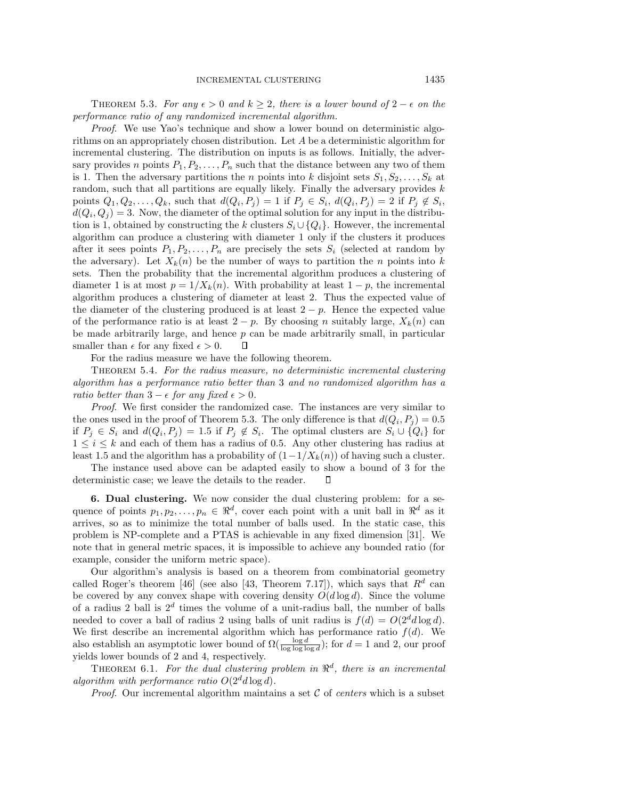THEOREM 5.3. For any  $\epsilon > 0$  and  $k \geq 2$ , there is a lower bound of  $2 - \epsilon$  on the performance ratio of any randomized incremental algorithm.

Proof. We use Yao's technique and show a lower bound on deterministic algorithms on an appropriately chosen distribution. Let A be a deterministic algorithm for incremental clustering. The distribution on inputs is as follows. Initially, the adversary provides n points  $P_1, P_2, \ldots, P_n$  such that the distance between any two of them is 1. Then the adversary partitions the *n* points into *k* disjoint sets  $S_1, S_2, \ldots, S_k$  at random, such that all partitions are equally likely. Finally the adversary provides  $k$ points  $Q_1, Q_2, \ldots, Q_k$ , such that  $d(Q_i, P_j) = 1$  if  $P_j \in S_i$ ,  $d(Q_i, P_j) = 2$  if  $P_j \notin S_i$ ,  $d(Q_i, Q_j) = 3$ . Now, the diameter of the optimal solution for any input in the distribution is 1, obtained by constructing the k clusters  $S_i \cup \{Q_i\}$ . However, the incremental algorithm can produce a clustering with diameter 1 only if the clusters it produces after it sees points  $P_1, P_2, \ldots, P_n$  are precisely the sets  $S_i$  (selected at random by the adversary). Let  $X_k(n)$  be the number of ways to partition the n points into k sets. Then the probability that the incremental algorithm produces a clustering of diameter 1 is at most  $p = 1/X_k(n)$ . With probability at least  $1 - p$ , the incremental algorithm produces a clustering of diameter at least 2. Thus the expected value of the diameter of the clustering produced is at least  $2 - p$ . Hence the expected value of the performance ratio is at least  $2 - p$ . By choosing n suitably large,  $X_k(n)$  can be made arbitrarily large, and hence  $p$  can be made arbitrarily small, in particular smaller than  $\epsilon$  for any fixed  $\epsilon > 0$ . П

For the radius measure we have the following theorem.

Theorem 5.4. For the radius measure, no deterministic incremental clustering algorithm has a performance ratio better than 3 and no randomized algorithm has a ratio better than  $3 - \epsilon$  for any fixed  $\epsilon > 0$ .

Proof. We first consider the randomized case. The instances are very similar to the ones used in the proof of Theorem 5.3. The only difference is that  $d(Q_i, P_j) = 0.5$ if  $P_j \in S_i$  and  $d(Q_i, P_j) = 1.5$  if  $P_j \notin S_i$ . The optimal clusters are  $S_i \cup \{Q_i\}$  for  $1 \leq i \leq k$  and each of them has a radius of 0.5. Any other clustering has radius at least 1.5 and the algorithm has a probability of  $(1-1/X_k(n))$  of having such a cluster.

The instance used above can be adapted easily to show a bound of 3 for the deterministic case; we leave the details to the reader.  $\Box$ 

**6. Dual clustering.** We now consider the dual clustering problem: for a sequence of points  $p_1, p_2,...,p_n \in \mathbb{R}^d$ , cover each point with a unit ball in  $\mathbb{R}^d$  as it arrives, so as to minimize the total number of balls used. In the static case, this problem is NP-complete and a PTAS is achievable in any fixed dimension [31]. We note that in general metric spaces, it is impossible to achieve any bounded ratio (for example, consider the uniform metric space).

Our algorithm's analysis is based on a theorem from combinatorial geometry called Roger's theorem [46] (see also [43, Theorem 7.17]), which says that  $R^d$  can be covered by any convex shape with covering density  $O(d \log d)$ . Since the volume of a radius 2 ball is  $2^d$  times the volume of a unit-radius ball, the number of balls needed to cover a ball of radius 2 using balls of unit radius is  $f(d) = O(2^d d \log d)$ . We first describe an incremental algorithm which has performance ratio  $f(d)$ . We also establish an asymptotic lower bound of  $\Omega(\frac{\log d}{\log \log \log d})$ ; for  $d = 1$  and 2, our proof yields lower bounds of 2 and 4, respectively.

THEOREM 6.1. For the dual clustering problem in  $\mathbb{R}^d$ , there is an incremental algorithm with performance ratio  $O(2^d d \log d)$ .

*Proof.* Our incremental algorithm maintains a set  $\mathcal C$  of *centers* which is a subset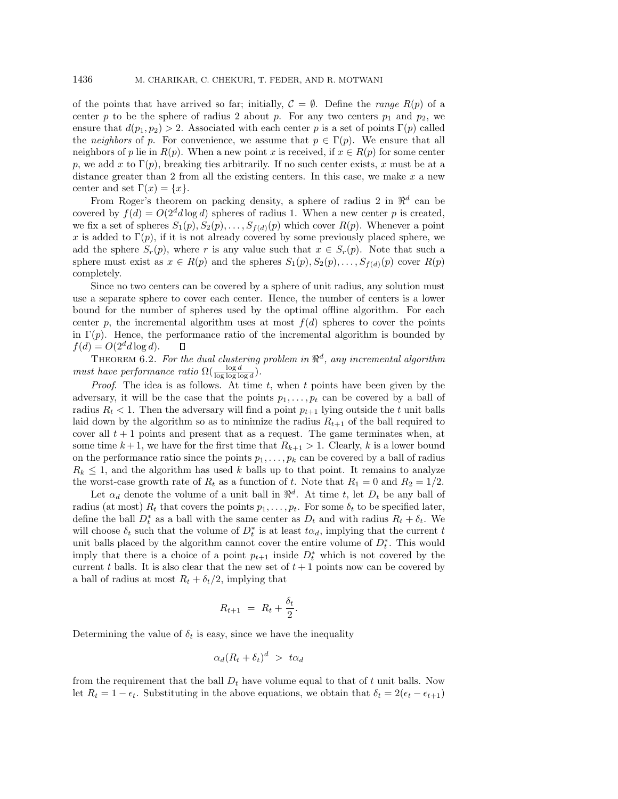of the points that have arrived so far; initially,  $C = \emptyset$ . Define the *range*  $R(p)$  of a center p to be the sphere of radius 2 about p. For any two centers  $p_1$  and  $p_2$ , we ensure that  $d(p_1, p_2) > 2$ . Associated with each center p is a set of points Γ(p) called the neighbors of p. For convenience, we assume that  $p \in \Gamma(p)$ . We ensure that all neighbors of p lie in  $R(p)$ . When a new point x is received, if  $x \in R(p)$  for some center p, we add x to  $\Gamma(p)$ , breaking ties arbitrarily. If no such center exists, x must be at a distance greater than 2 from all the existing centers. In this case, we make  $x$  a new center and set  $\Gamma(x) = \{x\}.$ 

From Roger's theorem on packing density, a sphere of radius 2 in  $\mathbb{R}^d$  can be covered by  $f(d) = O(2^d d \log d)$  spheres of radius 1. When a new center p is created, we fix a set of spheres  $S_1(p), S_2(p), \ldots, S_{f(d)}(p)$  which cover  $R(p)$ . Whenever a point x is added to  $\Gamma(p)$ , if it is not already covered by some previously placed sphere, we add the sphere  $S_r(p)$ , where r is any value such that  $x \in S_r(p)$ . Note that such a sphere must exist as  $x \in R(p)$  and the spheres  $S_1(p), S_2(p), \ldots, S_{f(d)}(p)$  cover  $R(p)$ completely.

Since no two centers can be covered by a sphere of unit radius, any solution must use a separate sphere to cover each center. Hence, the number of centers is a lower bound for the number of spheres used by the optimal offline algorithm. For each center p, the incremental algorithm uses at most  $f(d)$  spheres to cover the points in  $\Gamma(p)$ . Hence, the performance ratio of the incremental algorithm is bounded by  $f(d) = O(2^d d \log d)$ .  $\Box$ 

THEOREM 6.2. For the dual clustering problem in  $\mathbb{R}^d$ , any incremental algorithm must have performance ratio  $\Omega(\frac{\log d}{\log \log \log d})$ .

*Proof.* The idea is as follows. At time t, when t points have been given by the adversary, it will be the case that the points  $p_1, \ldots, p_t$  can be covered by a ball of radius  $R_t < 1$ . Then the adversary will find a point  $p_{t+1}$  lying outside the t unit balls laid down by the algorithm so as to minimize the radius  $R_{t+1}$  of the ball required to cover all  $t + 1$  points and present that as a request. The game terminates when, at some time  $k+1$ , we have for the first time that  $R_{k+1} > 1$ . Clearly, k is a lower bound on the performance ratio since the points  $p_1, \ldots, p_k$  can be covered by a ball of radius  $R_k \leq 1$ , and the algorithm has used k balls up to that point. It remains to analyze the worst-case growth rate of  $R_t$  as a function of t. Note that  $R_1 = 0$  and  $R_2 = 1/2$ .

Let  $\alpha_d$  denote the volume of a unit ball in  $\mathbb{R}^d$ . At time t, let  $D_t$  be any ball of radius (at most)  $R_t$  that covers the points  $p_1,\ldots,p_t$ . For some  $\delta_t$  to be specified later, define the ball  $D_t^*$  as a ball with the same center as  $D_t$  and with radius  $R_t + \delta_t$ . We will choose  $\delta_t$  such that the volume of  $D_t^*$  is at least  $t\alpha_d$ , implying that the current  $t$ unit balls placed by the algorithm cannot cover the entire volume of  $D_t^*$ . This would imply that there is a choice of a point  $p_{t+1}$  inside  $D_t^*$  which is not covered by the current t balls. It is also clear that the new set of  $t + 1$  points now can be covered by a ball of radius at most  $R_t + \delta_t/2$ , implying that

$$
R_{t+1} = R_t + \frac{\delta_t}{2}.
$$

Determining the value of  $\delta_t$  is easy, since we have the inequality

$$
\alpha_d (R_t + \delta_t)^d > t \alpha_d
$$

from the requirement that the ball  $D_t$  have volume equal to that of t unit balls. Now let  $R_t = 1 - \epsilon_t$ . Substituting in the above equations, we obtain that  $\delta_t = 2(\epsilon_t - \epsilon_{t+1})$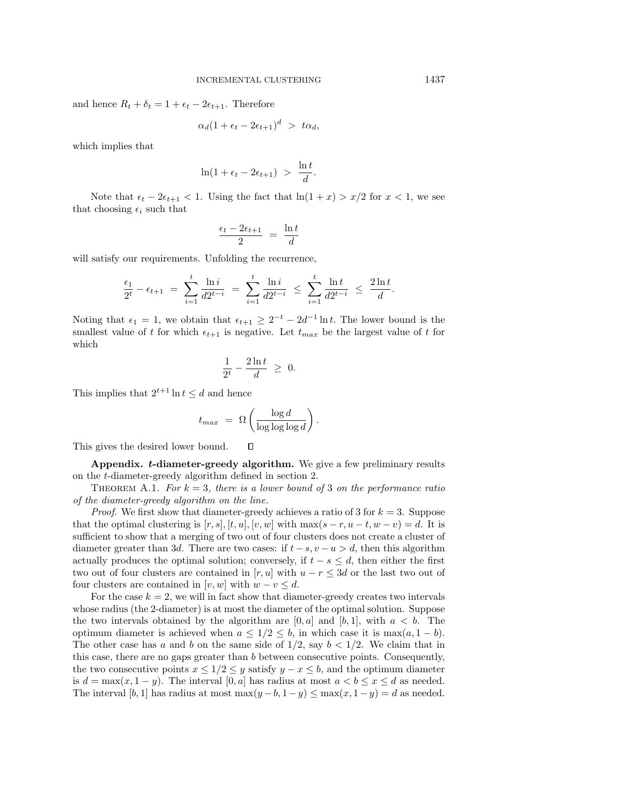and hence  $R_t + \delta_t = 1 + \epsilon_t - 2\epsilon_{t+1}$ . Therefore

$$
\alpha_d (1 + \epsilon_t - 2\epsilon_{t+1})^d > t\alpha_d,
$$

which implies that

$$
\ln(1+\epsilon_t-2\epsilon_{t+1}) > \frac{\ln t}{d}.
$$

Note that  $\epsilon_t - 2\epsilon_{t+1} < 1$ . Using the fact that  $\ln(1+x) > x/2$  for  $x < 1$ , we see that choosing  $\epsilon_i$  such that

$$
\frac{\epsilon_t - 2\epsilon_{t+1}}{2} = \frac{\ln t}{d}
$$

will satisfy our requirements. Unfolding the recurrence,

$$
\frac{\epsilon_1}{2^t} - \epsilon_{t+1} \ = \ \sum_{i=1}^t \frac{\ln i}{d2^{t-i}} \ = \ \sum_{i=1}^t \frac{\ln i}{d2^{t-i}} \ \leq \ \sum_{i=1}^t \frac{\ln t}{d2^{t-i}} \ \leq \ \frac{2\ln t}{d}.
$$

Noting that  $\epsilon_1 = 1$ , we obtain that  $\epsilon_{t+1} \geq 2^{-t} - 2d^{-1} \ln t$ . The lower bound is the smallest value of t for which  $\epsilon_{t+1}$  is negative. Let  $t_{max}$  be the largest value of t for which

$$
\frac{1}{2^t} - \frac{2\ln t}{d} \ge 0.
$$

This implies that  $2^{t+1} \ln t \leq d$  and hence

$$
t_{max} = \Omega\left(\frac{\log d}{\log \log \log d}\right).
$$

 $\Box$ 

This gives the desired lower bound.

**Appendix.** *t***-diameter-greedy algorithm.** We give a few preliminary results on the t-diameter-greedy algorithm defined in section 2.

THEOREM A.1. For  $k = 3$ , there is a lower bound of 3 on the performance ratio of the diameter-greedy algorithm on the line.

*Proof.* We first show that diameter-greedy achieves a ratio of 3 for  $k = 3$ . Suppose that the optimal clustering is  $[r, s], [t, u], [v, w]$  with  $\max(s - r, u - t, w - v) = d$ . It is sufficient to show that a merging of two out of four clusters does not create a cluster of diameter greater than 3d. There are two cases: if  $t - s$ ,  $v - u > d$ , then this algorithm actually produces the optimal solution; conversely, if  $t - s \leq d$ , then either the first two out of four clusters are contained in [r, u] with  $u - r \leq 3d$  or the last two out of four clusters are contained in  $[v, w]$  with  $w - v \leq d$ .

For the case  $k = 2$ , we will in fact show that diameter-greedy creates two intervals whose radius (the 2-diameter) is at most the diameter of the optimal solution. Suppose the two intervals obtained by the algorithm are  $[0, a]$  and  $[b, 1]$ , with  $a < b$ . The optimum diameter is achieved when  $a \leq 1/2 \leq b$ , in which case it is max $(a, 1 - b)$ . The other case has a and b on the same side of  $1/2$ , say  $b < 1/2$ . We claim that in this case, there are no gaps greater than b between consecutive points. Consequently, the two consecutive points  $x \leq 1/2 \leq y$  satisfy  $y - x \leq b$ , and the optimum diameter is  $d = \max(x, 1 - y)$ . The interval [0, a] has radius at most  $a < b \le x \le d$  as needed. The interval [b, 1] has radius at most max $(y - b, 1 - y) \leq \max(x, 1 - y) = d$  as needed.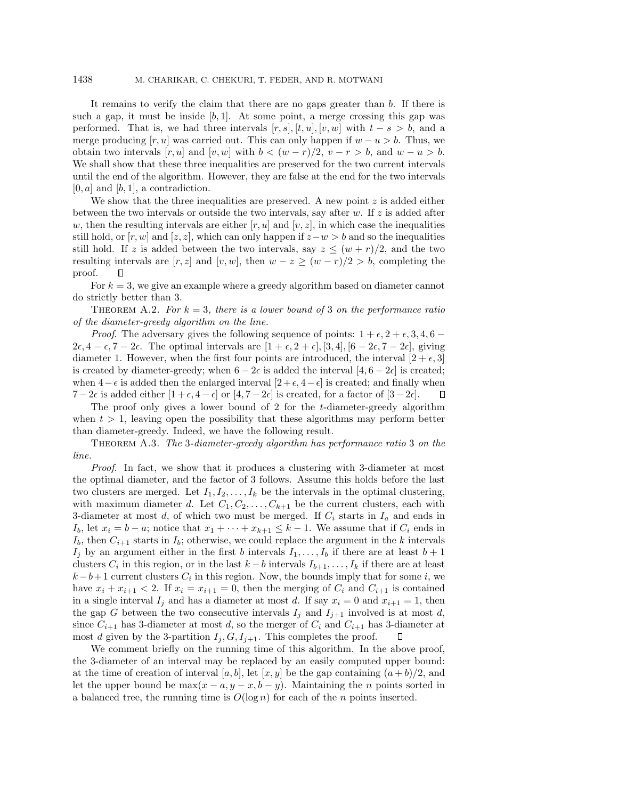It remains to verify the claim that there are no gaps greater than b. If there is such a gap, it must be inside  $[b, 1]$ . At some point, a merge crossing this gap was performed. That is, we had three intervals  $[r, s], [t, u], [v, w]$  with  $t - s > b$ , and a merge producing [r, u] was carried out. This can only happen if  $w - u > b$ . Thus, we obtain two intervals  $[r, u]$  and  $[v, w]$  with  $b < (w - r)/2$ ,  $v - r > b$ , and  $w - u > b$ . We shall show that these three inequalities are preserved for the two current intervals until the end of the algorithm. However, they are false at the end for the two intervals  $[0, a]$  and  $[b, 1]$ , a contradiction.

We show that the three inequalities are preserved. A new point  $z$  is added either between the two intervals or outside the two intervals, say after w. If  $z$  is added after w, then the resulting intervals are either  $[r, u]$  and  $[v, z]$ , in which case the inequalities still hold, or  $[r, w]$  and  $[z, z]$ , which can only happen if  $z-w > b$  and so the inequalities still hold. If z is added between the two intervals, say  $z \leq (w+r)/2$ , and the two resulting intervals are  $[r, z]$  and  $[v, w]$ , then  $w - z \ge (w - r)/2 > b$ , completing the proof. □

For  $k = 3$ , we give an example where a greedy algorithm based on diameter cannot do strictly better than 3.

THEOREM A.2. For  $k = 3$ , there is a lower bound of 3 on the performance ratio of the diameter-greedy algorithm on the line.

*Proof.* The adversary gives the following sequence of points:  $1 + \epsilon$ ,  $2 + \epsilon$ ,  $3, 4, 6 - \epsilon$  $2\epsilon, 4-\epsilon, 7-2\epsilon$ . The optimal intervals are  $[1+\epsilon, 2+\epsilon]$ ,  $[3, 4]$ ,  $[6-2\epsilon, 7-2\epsilon]$ , giving diameter 1. However, when the first four points are introduced, the interval  $[2 + \epsilon, 3]$ is created by diameter-greedy; when  $6 - 2\epsilon$  is added the interval  $[4, 6 - 2\epsilon]$  is created; when  $4-\epsilon$  is added then the enlarged interval  $[2+\epsilon, 4-\epsilon]$  is created; and finally when  $7-2\epsilon$  is added either  $[1+\epsilon, 4-\epsilon]$  or  $[4, 7-2\epsilon]$  is created, for a factor of  $[3-2\epsilon]$ .  $\Box$ 

The proof only gives a lower bound of 2 for the t-diameter-greedy algorithm when  $t > 1$ , leaving open the possibility that these algorithms may perform better than diameter-greedy. Indeed, we have the following result.

Theorem A.3. The 3-diameter-greedy algorithm has performance ratio 3 on the line.

Proof. In fact, we show that it produces a clustering with 3-diameter at most the optimal diameter, and the factor of 3 follows. Assume this holds before the last two clusters are merged. Let  $I_1, I_2, \ldots, I_k$  be the intervals in the optimal clustering, with maximum diameter d. Let  $C_1, C_2, \ldots, C_{k+1}$  be the current clusters, each with 3-diameter at most d, of which two must be merged. If  $C_i$  starts in  $I_a$  and ends in  $I_b$ , let  $x_i = b - a$ ; notice that  $x_1 + \cdots + x_{k+1} \leq k - 1$ . We assume that if  $C_i$  ends in  $I_b$ , then  $C_{i+1}$  starts in  $I_b$ ; otherwise, we could replace the argument in the k intervals  $I_j$  by an argument either in the first b intervals  $I_1,\ldots,I_b$  if there are at least  $b+1$ clusters  $C_i$  in this region, or in the last  $k - b$  intervals  $I_{b+1}, \ldots, I_k$  if there are at least  $k-b+1$  current clusters  $C_i$  in this region. Now, the bounds imply that for some i, we have  $x_i + x_{i+1} < 2$ . If  $x_i = x_{i+1} = 0$ , then the merging of  $C_i$  and  $C_{i+1}$  is contained in a single interval  $I_i$  and has a diameter at most d. If say  $x_i = 0$  and  $x_{i+1} = 1$ , then the gap G between the two consecutive intervals  $I_j$  and  $I_{j+1}$  involved is at most d, since  $C_{i+1}$  has 3-diameter at most d, so the merger of  $C_i$  and  $C_{i+1}$  has 3-diameter at most d given by the 3-partition  $I_j$ ,  $G$ ,  $I_{j+1}$ . This completes the proof. Д

We comment briefly on the running time of this algorithm. In the above proof, the 3-diameter of an interval may be replaced by an easily computed upper bound: at the time of creation of interval [a, b], let [x, y] be the gap containing  $(a + b)/2$ , and let the upper bound be max $(x - a, y - x, b - y)$ . Maintaining the *n* points sorted in a balanced tree, the running time is  $O(\log n)$  for each of the n points inserted.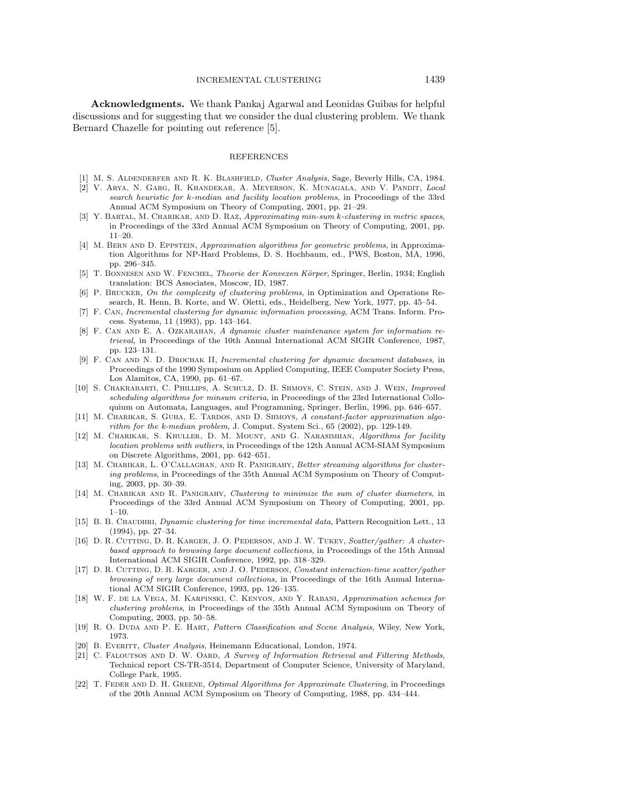**Acknowledgments.** We thank Pankaj Agarwal and Leonidas Guibas for helpful discussions and for suggesting that we consider the dual clustering problem. We thank Bernard Chazelle for pointing out reference [5].

#### REFERENCES

- [1] M. S. Aldenderfer and R. K. Blashfield, Cluster Analysis, Sage, Beverly Hills, CA, 1984.
- [2] V. Arya, N. Garg, R. Khandekar, A. Meyerson, K. Munagala, and V. Pandit, Local search heuristic for k-median and facility location problems, in Proceedings of the 33rd Annual ACM Symposium on Theory of Computing, 2001, pp. 21–29.
- [3] Y. Bartal, M. Charikar, and D. Raz, Approximating min-sum k-clustering in metric spaces, in Proceedings of the 33rd Annual ACM Symposium on Theory of Computing, 2001, pp. 11–20.
- [4] M. BERN AND D. EPPSTEIN, Approximation algorithms for geometric problems, in Approximation Algorithms for NP-Hard Problems, D. S. Hochbaum, ed., PWS, Boston, MA, 1996, pp. 296–345.
- [5] T. BONNESEN AND W. FENCHEL, Theorie der Konvexen Körper, Springer, Berlin, 1934; English translation: BCS Associates, Moscow, ID, 1987.
- [6] P. Brucker, On the complexity of clustering problems, in Optimization and Operations Research, R. Henn, B. Korte, and W. Oletti, eds., Heidelberg, New York, 1977, pp. 45–54.
- [7] F. Can, Incremental clustering for dynamic information processing, ACM Trans. Inform. Process. Systems, 11 (1993), pp. 143–164.
- [8] F. Can and E. A. Ozkarahan, A dynamic cluster maintenance system for information retrieval, in Proceedings of the 10th Annual International ACM SIGIR Conference, 1987, pp. 123–131.
- [9] F. Can and N. D. Drochak II, Incremental clustering for dynamic document databases, in Proceedings of the 1990 Symposium on Applied Computing, IEEE Computer Society Press, Los Alamitos, CA, 1990, pp. 61–67.
- [10] S. Chakrabarti, C. Phillips, A. Schulz, D. B. Shmoys, C. Stein, and J. Wein, Improved scheduling algorithms for minsum criteria, in Proceedings of the 23rd International Colloquium on Automata, Languages, and Programming, Springer, Berlin, 1996, pp. 646–657.
- [11] M. CHARIKAR, S. GUHA, E. TARDOS, AND D. SHMOYS, A constant-factor approximation algorithm for the k-median problem, J. Comput. System Sci., 65 (2002), pp. 129-149.
- [12] M. Charikar, S. Khuller, D. M. Mount, and G. Narasimhan, Algorithms for facility location problems with outliers, in Proceedings of the 12th Annual ACM-SIAM Symposium on Discrete Algorithms, 2001, pp. 642–651.
- [13] M. CHARIKAR, L. O'CALLAGHAN, AND R. PANIGRAHY, Better streaming algorithms for clustering problems, in Proceedings of the 35th Annual ACM Symposium on Theory of Computing, 2003, pp. 30–39.
- [14] M. CHARIKAR AND R. PANIGRAHY, Clustering to minimize the sum of cluster diameters, in Proceedings of the 33rd Annual ACM Symposium on Theory of Computing, 2001, pp.  $1 - 10$ .
- [15] B. B. CHAUDHRI, Dynamic clustering for time incremental data, Pattern Recognition Lett., 13 (1994), pp. 27–34.
- [16] D. R. Cutting, D. R. Karger, J. O. Pederson, and J. W. Tukey, Scatter/gather: A clusterbased approach to browsing large document collections, in Proceedings of the 15th Annual International ACM SIGIR Conference, 1992, pp. 318–329.
- [17] D. R. CUTTING, D. R. KARGER, AND J. O. PEDERSON, Constant interaction-time scatter/gather browsing of very large document collections, in Proceedings of the 16th Annual International ACM SIGIR Conference, 1993, pp. 126–135.
- [18] W. F. de la Vega, M. Karpinski, C. Kenyon, and Y. Rabani, Approximation schemes for clustering problems, in Proceedings of the 35th Annual ACM Symposium on Theory of Computing, 2003, pp. 50–58.
- [19] R. O. Duda and P. E. Hart, Pattern Classification and Scene Analysis, Wiley, New York, 1973.
- [20] B. EVERITT, Cluster Analysis, Heinemann Educational, London, 1974.
- [21] C. FALOUTSOS AND D. W. OARD, A Survey of Information Retrieval and Filtering Methods, Technical report CS-TR-3514, Department of Computer Science, University of Maryland, College Park, 1995.
- [22] T. Feder and D. H. Greene, Optimal Algorithms for Approximate Clustering, in Proceedings of the 20th Annual ACM Symposium on Theory of Computing, 1988, pp. 434–444.